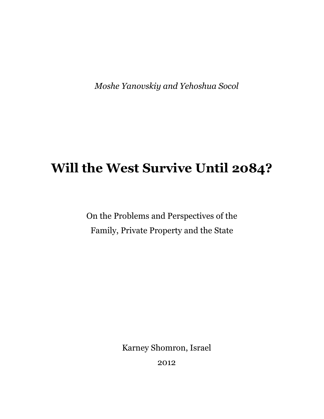Moshe Yanovskiy and Yehoshua Socol

# Will the West Survive Until 2084?

On the Problems and Perspectives of the Family, Private Property and the State

Karney Shomron, Israel

2012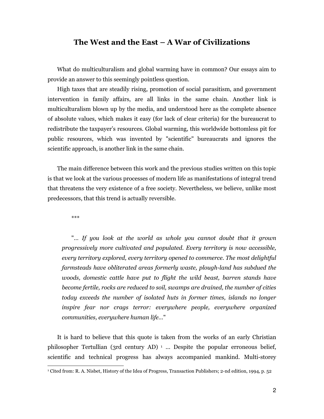### The West and the East – A War of Civilizations

What do multiculturalism and global warming have in common? Our essays aim to provide an answer to this seemingly pointless question.

High taxes that are steadily rising, promotion of social parasitism, and government intervention in family affairs, are all links in the same chain. Another link is multiculturalism blown up by the media, and understood here as the complete absence of absolute values, which makes it easy (for lack of clear criteria) for the bureaucrat to redistribute the taxpayer's resources. Global warming, this worldwide bottomless pit for public resources, which was invented by "scientific" bureaucrats and ignores the scientific approach, is another link in the same chain.

The main difference between this work and the previous studies written on this topic is that we look at the various processes of modern life as manifestations of integral trend that threatens the very existence of a free society. Nevertheless, we believe, unlike most predecessors, that this trend is actually reversible.

\*\*\*

 $\overline{a}$ 

"… If you look at the world as whole you cannot doubt that it grown progressively more cultivated and populated. Every territory is now accessible, every territory explored, every territory opened to commerce. The most delightful farmsteads have obliterated areas formerly waste, plough-land has subdued the woods, domestic cattle have put to flight the wild beast, barren stands have become fertile, rocks are reduced to soil, swamps are drained, the number of cities today exceeds the number of isolated huts in former times, islands no longer inspire fear nor crags terror: everywhere people, everywhere organized communities, everywhere human life…"

It is hard to believe that this quote is taken from the works of an early Christian philosopher Tertullian (3rd century AD)  $\frac{1}{1}$  ... Despite the popular erroneous belief, scientific and technical progress has always accompanied mankind. Multi-storey

<sup>1</sup> Cited from: R. A. Nisbet, History of the Idea of Progress, Transaction Publishers; 2-nd edition, 1994, p. 52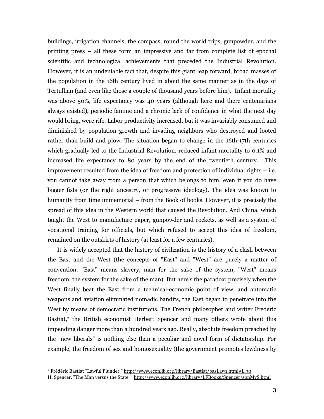buildings, irrigation channels, the compass, round the world trips, gunpowder, and the printing press – all these form an impressive and far from complete list of epochal scientific and technological achievements that preceded the Industrial Revolution. However, it is an undeniable fact that, despite this giant leap forward, broad masses of the population in the 16th century lived in about the same manner as in the days of Tertullian (and even like those a couple of thousand years before him). Infant mortality was above 50%, life expectancy was 40 years (although here and there centenarians always existed), periodic famine and a chronic lack of confidence in what the next day would bring, were rife. Labor productivity increased, but it was invariably consumed and diminished by population growth and invading neighbors who destroyed and looted rather than build and plow. The situation began to change in the 16th-17th centuries which gradually led to the Industrial Revolution, reduced infant mortality to 0.1% and increased life expectancy to 80 years by the end of the twentieth century. This improvement resulted from the idea of freedom and protection of individual rights – i.e. you cannot take away from a person that which belongs to him, even if you do have bigger fists (or the right ancestry, or progressive ideology). The idea was known to humanity from time immemorial – from the Book of books. However, it is precisely the spread of this idea in the Western world that caused the Revolution. And China, which taught the West to manufacture paper, gunpowder and rockets, as well as a system of vocational training for officials, but which refused to accept this idea of freedom, remained on the outskirts of history (at least for a few centuries).

It is widely accepted that the history of civilization is the history of a clash between the East and the West (the concepts of "East" and "West" are purely a matter of convention: "East" means slavery, man for the sake of the system; "West" means freedom, the system for the sake of the man). But here's the paradox: precisely when the West finally beat the East from a technical-economic point of view, and automatic weapons and aviation eliminated nomadic bandits, the East began to penetrate into the West by means of democratic institutions. The French philosopher and writer Frederic Bastiat,<sup>2</sup> the British economist Herbert Spencer and many others wrote about this impending danger more than a hundred years ago. Really, absolute freedom preached by the "new liberals" is nothing else than a peculiar and novel form of dictatorship. For example, the freedom of sex and homosexuality (the government promotes lewdness by

 2 Frédéric Bastiat "Lawful Plunder." http://www.econlib.org/library/Bastiat/basLaw1.html#L.30

H. Spencer. "The Man versus the State." http://www.econlib.org/library/LFBooks/Spencer/spnMvS.html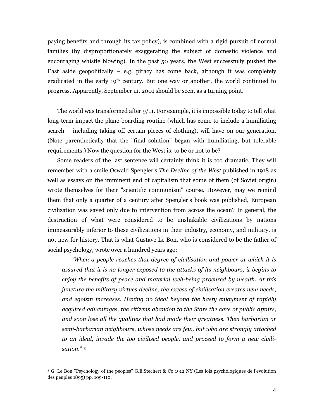paying benefits and through its tax policy), is combined with a rigid pursuit of normal families (by disproportionately exaggerating the subject of domestic violence and encouraging whistle blowing). In the past 50 years, the West successfully pushed the East aside geopolitically  $-$  e.g. piracy has come back, although it was completely eradicated in the early 19<sup>th</sup> century. But one way or another, the world continued to progress. Apparently, September 11, 2001 should be seen, as a turning point.

The world was transformed after 9/11. For example, it is impossible today to tell what long-term impact the plane-boarding routine (which has come to include a humiliating search – including taking off certain pieces of clothing), will have on our generation. (Note parenthetically that the "final solution" began with humiliating, but tolerable requirements.) Now the question for the West is: to be or not to be?

Some readers of the last sentence will certainly think it is too dramatic. They will remember with a smile Oswald Spengler's *The Decline of the West* published in 1918 as well as essays on the imminent end of capitalism that some of them (of Soviet origin) wrote themselves for their "scientific communism" course. However, may we remind them that only a quarter of a century after Spengler's book was published, European civilization was saved only due to intervention from across the ocean? In general, the destruction of what were considered to be unshakable civilizations by nations immeasurably inferior to these civilizations in their industry, economy, and military, is not new for history. That is what Gustave Le Bon, who is considered to be the father of social psychology, wrote over a hundred years ago:

"When a people reaches that degree of civilisation and power at which it is assured that it is no longer exposed to the attacks of its neighbours, it begins to enjoy the benefits of peace and material well-being procured by wealth. At this juncture the military virtues decline, the excess of civilisation creates new needs, and egoism increases. Having no ideal beyond the hasty enjoyment of rapidly acquired advantages, the citizens abandon to the State the care of public affairs, and soon lose all the qualities that had made their greatness. Then barbarian or semi-barbarian neighbours, whose needs are few, but who are strongly attached to an ideal, invade the too civilised people, and proceed to form a new civilisation."<sup>3</sup>

 3 G. Le Bon "Psychology of the peoples" G.E.Stechert & Co 1912 NY (Les lois psychologiques de l'evolution des peuples 1895) pp. 109-110.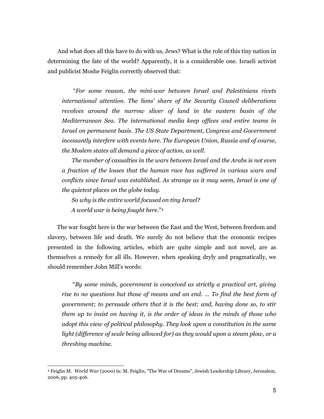And what does all this have to do with us, Jews? What is the role of this tiny nation in determining the fate of the world? Apparently, it is a considerable one. Israeli activist and publicist Moshe Feiglin correctly observed that:

 "For some reason, the mini-war between Israel and Palestinians rivets international attention. The lions' share of the Security Council deliberations revolves around the narrow sliver of land in the eastern basin of the Mediterranean Sea. The international media keep offices and entire teams in Israel on permanent basis. The US State Department, Congress and Government incessantly interfere with events here. The European Union, Russia and of course, the Moslem states all demand a piece of action, as well.

The number of casualties in the wars between Israel and the Arabs is not even a fraction of the losses that the human race has suffered in various wars and conflicts since Israel was established. As strange as it may seem, Israel is one of the quietest places on the globe today.

So why is the entire world focused on tiny Israel? A world war is being fought here." 4

The war fought here is the war between the East and the West, between freedom and slavery, between life and death. We surely do not believe that the economic recipes presented in the following articles, which are quite simple and not novel, are as themselves a remedy for all ills. However, when speaking dryly and pragmatically, we should remember John Mill's words:

 "By some minds, government is conceived as strictly a practical art, giving rise to no questions but those of means and an end. … To find the best form of government; to persuade others that it is the best; and, having done so, to stir them up to insist on having it, is the order of ideas in the minds of those who adopt this view of political philosophy. They look upon a constitution in the same light (difference of scale being allowed for) as they would upon a steam plow, or a threshing machine.

 $\overline{a}$ 

<sup>4</sup> Feiglin M. World War (2000) in: M. Feiglin, "The War of Dreams", Jewish Leadership Library, Jerusalem, 2006, pp. 405-406.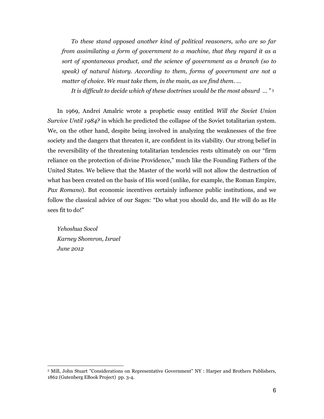To these stand opposed another kind of political reasoners, who are so far from assimilating a form of government to a machine, that they regard it as a sort of spontaneous product, and the science of government as a branch (so to speak) of natural history. According to them, forms of government are not a matter of choice. We must take them, in the main, as we find them. …

It is difficult to decide which of these doctrines would be the most absurd ... " 5

In 1969, Andrei Amalric wrote a prophetic essay entitled Will the Soviet Union Survive Until 1984? in which he predicted the collapse of the Soviet totalitarian system. We, on the other hand, despite being involved in analyzing the weaknesses of the free society and the dangers that threaten it, are confident in its viability. Our strong belief in the reversibility of the threatening totalitarian tendencies rests ultimately on our "firm reliance on the protection of divine Providence," much like the Founding Fathers of the United States. We believe that the Master of the world will not allow the destruction of what has been created on the basis of His word (unlike, for example, the Roman Empire, Pax Romano). But economic incentives certainly influence public institutions, and we follow the classical advice of our Sages: "Do what you should do, and He will do as He sees fit to do!"

Yehoshua Socol Karney Shomron, Israel June 2012

<sup>5</sup> Mill, John Stuart "Considerations on Representative Government" NY : Harper and Brothers Publishers, 1862 (Gutenberg EBook Project) pp. 3-4.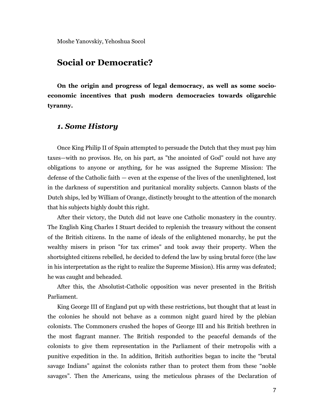# Social or Democratic?

On the origin and progress of legal democracy, as well as some socioeconomic incentives that push modern democracies towards oligarchic tyranny.

### 1. Some History

Once King Philip II of Spain attempted to persuade the Dutch that they must pay him taxes—with no provisos. He, on his part, as "the anointed of God" could not have any obligations to anyone or anything, for he was assigned the Supreme Mission: The defense of the Catholic faith — even at the expense of the lives of the unenlightened, lost in the darkness of superstition and puritanical morality subjects. Cannon blasts of the Dutch ships, led by William of Orange, distinctly brought to the attention of the monarch that his subjects highly doubt this right.

After their victory, the Dutch did not leave one Catholic monastery in the country. The English King Charles I Stuart decided to replenish the treasury without the consent of the British citizens. In the name of ideals of the enlightened monarchy, he put the wealthy misers in prison "for tax crimes" and took away their property. When the shortsighted citizens rebelled, he decided to defend the law by using brutal force (the law in his interpretation as the right to realize the Supreme Mission). His army was defeated; he was caught and beheaded.

After this, the Absolutist-Catholic opposition was never presented in the British Parliament.

King George III of England put up with these restrictions, but thought that at least in the colonies he should not behave as a common night guard hired by the plebian colonists. The Commoners crushed the hopes of George III and his British brethren in the most flagrant manner. The British responded to the peaceful demands of the colonists to give them representation in the Parliament of their metropolis with a punitive expedition in the. In addition, British authorities began to incite the "brutal savage Indians" against the colonists rather than to protect them from these "noble savages". Then the Americans, using the meticulous phrases of the Declaration of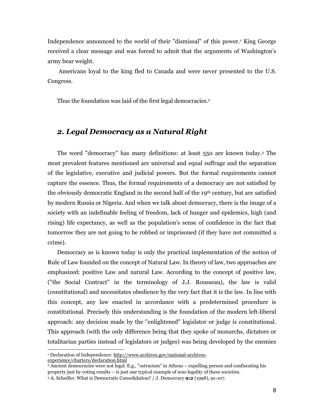Independence announced to the world of their "dismissal" of this power.<sup>1</sup> King George received a clear message and was forced to admit that the arguments of Washington's army bear weight.

 Americans loyal to the king fled to Canada and were never presented to the U.S. Congress.

Thus the foundation was laid of the first legal democracies.<sup>2</sup>

# 2. Legal Democracy as a Natural Right

The word "democracy" has many definitions: at least 550 are known today.<sup>3</sup> The most prevalent features mentioned are universal and equal suffrage and the separation of the legislative, executive and judicial powers. But the formal requirements cannot capture the essence. Thus, the formal requirements of a democracy are not satisfied by the obviously democratic England in the second half of the 19th century, but are satisfied by modern Russia or Nigeria. And when we talk about democracy, there is the image of a society with an indefinable feeling of freedom, lack of hunger and epidemics, high (and rising) life expectancy, as well as the population's sense of confidence in the fact that tomorrow they are not going to be robbed or imprisoned (if they have not committed a crime).

Democracy as is known today is only the practical implementation of the notion of Rule of Law founded on the concept of Natural Law. In theory of law, two approaches are emphasized: positive Law and natural Law. According to the concept of positive law, ("the Social Contract" in the terminology of J.J. Rousseau), the law is valid (constitutional) and necessitates obedience by the very fact that it is the law. In line with this concept, any law enacted in accordance with a predetermined procedure is constitutional. Precisely this understanding is the foundation of the modern left-liberal approach: any decision made by the "enlightened" legislator or judge is constitutional. This approach (with the only difference being that they spoke of monarchs, dictators or totalitarian parties instead of legislators or judges) was being developed by the enemies

<sup>&</sup>lt;sup>1</sup> Declaration of Independence: http://www.archives.gov/national-archivesexperience/charters/declaration.html

<sup>2</sup> Ancient democracies were not legal. E.g., "ostracism" in Athens – expelling person and confiscating his property just by voting results – is just one typical example of non-legality of these societies.

<sup>3</sup> A. Schedler. What is Democratic Consolidation? / J. Democracy 9:2 (1998), 91-107.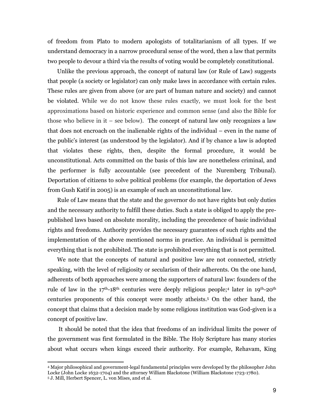of freedom from Plato to modern apologists of totalitarianism of all types. If we understand democracy in a narrow procedural sense of the word, then a law that permits two people to devour a third via the results of voting would be completely constitutional.

Unlike the previous approach, the concept of natural law (or Rule of Law) suggests that people (a society or legislator) can only make laws in accordance with certain rules. These rules are given from above (or are part of human nature and society) and cannot be violated. While we do not know these rules exactly, we must look for the best approximations based on historic experience and common sense (and also the Bible for those who believe in it – see below). The concept of natural law only recognizes a law that does not encroach on the inalienable rights of the individual – even in the name of the public's interest (as understood by the legislator). And if by chance a law is adopted that violates these rights, then, despite the formal procedure, it would be unconstitutional. Acts committed on the basis of this law are nonetheless criminal, and the performer is fully accountable (see precedent of the Nuremberg Tribunal). Deportation of citizens to solve political problems (for example, the deportation of Jews from Gush Katif in 2005) is an example of such an unconstitutional law.

Rule of Law means that the state and the governor do not have rights but only duties and the necessary authority to fulfill these duties. Such a state is obliged to apply the prepublished laws based on absolute morality, including the precedence of basic individual rights and freedoms. Authority provides the necessary guarantees of such rights and the implementation of the above mentioned norms in practice. An individual is permitted everything that is not prohibited. The state is prohibited everything that is not permitted.

We note that the concepts of natural and positive law are not connected, strictly speaking, with the level of religiosity or secularism of their adherents. On the one hand, adherents of both approaches were among the supporters of natural law: founders of the rule of law in the 17<sup>th</sup>-18<sup>th</sup> centuries were deeply religious people;<sup>4</sup> later in 19<sup>th</sup>-20<sup>th</sup> centuries proponents of this concept were mostly atheists.<sup>5</sup> On the other hand, the concept that claims that a decision made by some religious institution was God-given is a concept of positive law.

 It should be noted that the idea that freedoms of an individual limits the power of the government was first formulated in the Bible. The Holy Scripture has many stories about what occurs when kings exceed their authority. For example, Rehavam, King

 $\overline{a}$ 

<sup>4</sup> Major philosophical and government-legal fundamental principles were developed by the philosopher John Locke (John Locke 1632-1704) and the attorney William Blackstone (William Blackstone 1723-1780).

<sup>5</sup> J. Mill, Herbert Spencer, L. von Mises, and et al.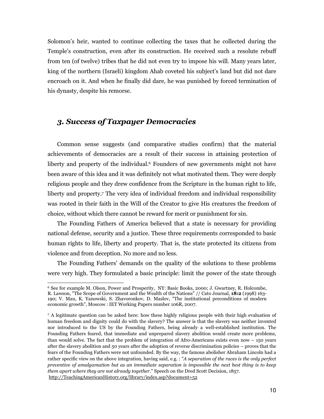Solomon's heir, wanted to continue collecting the taxes that he collected during the Temple's construction, even after its construction. He received such a resolute rebuff from ten (of twelve) tribes that he did not even try to impose his will. Many years later, king of the northern (Israeli) kingdom Ahab coveted his subject's land but did not dare encroach on it. And when he finally did dare, he was punished by forced termination of his dynasty, despite his remorse.

# 3. Success of Taxpayer Democracies

Common sense suggests (and comparative studies confirm) that the material achievements of democracies are a result of their success in attaining protection of liberty and property of the individual.<sup>6</sup> Founders of new governments might not have been aware of this idea and it was definitely not what motivated them. They were deeply religious people and they drew confidence from the Scripture in the human right to life, liberty and property.<sup>7</sup> The very idea of individual freedom and individual responsibility was rooted in their faith in the Will of the Creator to give His creatures the freedom of choice, without which there cannot be reward for merit or punishment for sin.

The Founding Fathers of America believed that a state is necessary for providing national defense, security and a justice. These three requirements corresponded to basic human rights to life, liberty and property. That is, the state protected its citizens from violence and from deception. No more and no less.

The Founding Fathers' demands on the quality of the solutions to these problems were very high. They formulated a basic principle: limit the power of the state through

 $\overline{a}$ <sup>6</sup> See for example M. Olson, Power and Prosperity, NY: Basic Books, 2000; J. Gwartney, R. Holcombe, R. Lawson, "The Scope of Government and the Wealth of the Nations" // Cato Journal, 18:2 (1998) 163- 190; V. Mau, K. Yanowski, S. Zhavoronkov, D. Maslov, "The institutional preconditions of modern economic growth", Moscow : IET Working Papers number 106R, 2007.

<sup>7</sup> A legitimate question can be asked here: how these highly religious people with their high evaluation of human freedom and dignity could do with the slavery? The answer is that the slavery was neither invented nor introduced to the US by the Founding Fathers, being already a well-established institution. The Founding Fathers feared, that immediate and unprepared slavery abolition would create more problems, than would solve. The fact that the problem of integration of Afro-Americans exists even now – 150 years after the slavery abolition and 50 years after the adoption of reverse discrimination policies – proves that the fears of the Founding Fathers were not unfounded. By the way, the famous abolisher Abraham Lincoln had a rather specific view on the above integration, having said, e.g. : "A separation of the races is the only perfect preventive of amalgamation but as an immediate separation is impossible the next best thing is to keep them apart where they are not already together." Speech on the Dred Scott Decision, 1857. http://TeachingAmericanHistory.org/library/index.asp?document=52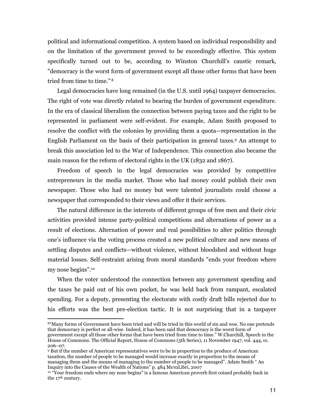political and informational competition. A system based on individual responsibility and on the limitation of the government proved to be exceedingly effective. This system specifically turned out to be, according to Winston Churchill's caustic remark, "democracy is the worst form of government except all those other forms that have been tried from time to time."<sup>8</sup>

Legal democracies have long remained (in the U.S. until 1964) taxpayer democracies. The right of vote was directly related to bearing the burden of government expenditure. In the era of classical liberalism the connection between paying taxes and the right to be represented in parliament were self-evident. For example, Adam Smith proposed to resolve the conflict with the colonies by providing them a quota—representation in the English Parliament on the basis of their participation in general taxes.<sup>9</sup> An attempt to break this association led to the War of Independence. This connection also became the main reason for the reform of electoral rights in the UK (1832 and 1867).

Freedom of speech in the legal democracies was provided by competitive entrepreneurs in the media market. Those who had money could publish their own newspaper. Those who had no money but were talented journalists could choose a newspaper that corresponded to their views and offer it their services.

The natural difference in the interests of different groups of free men and their civic activities provided intense party-political competitions and alternations of power as a result of elections. Alternation of power and real possibilities to alter politics through one's influence via the voting process created a new political culture and new means of settling disputes and conflicts—without violence, without bloodshed and without huge material losses. Self-restraint arising from moral standards "ends your freedom where my nose begins".<sup>10</sup>

When the voter understood the connection between any government spending and the taxes he paid out of his own pocket, he was held back from rampant, escalated spending. For a deputy, presenting the electorate with costly draft bills rejected due to his efforts was the best pre-election tactic. It is not surprising that in a taxpayer

-

<sup>8</sup>"Many forms of Government have been tried and will be tried in this world of sin and woe. No one pretends that democracy is perfect or all-wise. Indeed, it has been said that democracy is the worst form of government except all those other forms that have been tried from time to time." W.Churchill, Speech in the House of Commons. The Official Report, House of Commons (5th Series), 11 November 1947, vol. 444, cc. 206–07.

<sup>9</sup> But if the number of American representatives were to be in proportion to the produce of American taxation, the number of people to be managed would increase exactly in proportion to the means of managing them and the means of managing to the number of people to be managed". Adam Smith " An Inquiry into the Causes of the Wealth of Nations" p. 484 MεταLibri, 2007

<sup>&</sup>lt;sup>10</sup> "Your freedom ends where my nose begins" is a famous American proverb first coined probably back in the 17<sup>th</sup> century.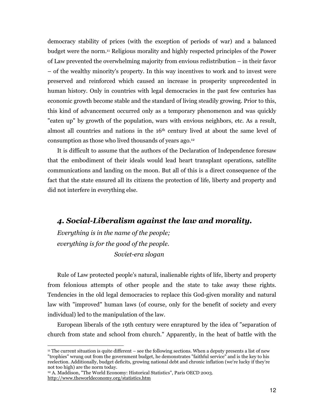democracy stability of prices (with the exception of periods of war) and a balanced budget were the norm.11 Religious morality and highly respected principles of the Power of Law prevented the overwhelming majority from envious redistribution – in their favor – of the wealthy minority's property. In this way incentives to work and to invest were preserved and reinforced which caused an increase in prosperity unprecedented in human history. Only in countries with legal democracies in the past few centuries has economic growth become stable and the standard of living steadily growing. Prior to this, this kind of advancement occurred only as a temporary phenomenon and was quickly "eaten up" by growth of the population, wars with envious neighbors, etc. As a result, almost all countries and nations in the 16th century lived at about the same level of consumption as those who lived thousands of years ago.<sup>12</sup>

It is difficult to assume that the authors of the Declaration of Independence foresaw that the embodiment of their ideals would lead heart transplant operations, satellite communications and landing on the moon. But all of this is a direct consequence of the fact that the state ensured all its citizens the protection of life, liberty and property and did not interfere in everything else.

# 4. Social-Liberalism against the law and morality.

Everything is in the name of the people; everything is for the good of the people. Soviet-era slogan

j

Rule of Law protected people's natural, inalienable rights of life, liberty and property from felonious attempts of other people and the state to take away these rights. Tendencies in the old legal democracies to replace this God-given morality and natural law with "improved" human laws (of course, only for the benefit of society and every individual) led to the manipulation of the law.

European liberals of the 19th century were enraptured by the idea of "separation of church from state and school from church." Apparently, in the heat of battle with the

<sup>11</sup> The current situation is quite different – see the following sections. When a deputy presents a list of new "trophies" wrung out from the government budget, he demonstrates "faithful service" and is the key to his reelection. Additionally, budget deficits, growing national debt and chronic inflation (we're lucky if they're not too high) are the norm today.

<sup>12</sup> A. Maddison, "The World Economy: Historical Statistics", Paris OECD 2003. http://www.theworldeconomy.org/statistics.htm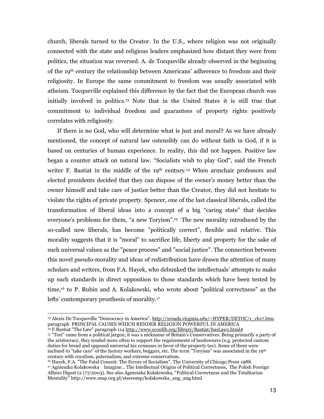church, liberals turned to the Creator. In the U.S., where religion was not originally connected with the state and religious leaders emphasized how distant they were from politics, the situation was reversed. A. de Tocqueville already observed in the beginning of the 19th century the relationship between Americans' adherence to freedom and their religiosity. In Europe the same commitment to freedom was usually associated with atheism. Tocqueville explained this difference by the fact that the European church was initially involved in politics.13 Note that in the United States it is still true that commitment to individual freedom and guarantees of property rights positively correlates with religiosity.

If there is no God, who will determine what is just and moral? As we have already mentioned, the concept of natural law ostensibly can do without faith in God, if it is based on centuries of human experience. In reality, this did not happen. Positive law began a counter attack on natural law. "Socialists wish to play God", said the French writer F. Bastiat in the middle of the 19<sup>th</sup> century.<sup>14</sup> When armchair professors and elected presidents decided that they can dispose of the owner's money better than the owner himself and take care of justice better than the Creator, they did not hesitate to violate the rights of private property. Spencer, one of the last classical liberals, called the transformation of liberal ideas into a concept of a big "caring state" that decides everyone's problems for them, "a new Toryism".15 The new morality introduced by the so-called new liberals, has become "politically correct", flexible and relative. This morality suggests that it is "moral" to sacrifice life, liberty and property for the sake of such universal values as the "peace process" and "social justice". The connection between this novel pseudo-morality and ideas of redistribution have drawn the attention of many scholars and writers, from F.A. Hayek, who debunked the intellectuals' attempts to make up such standards in direct opposition to those standards which have been tested by time,16 to P. Rubin and A. Kolakowski, who wrote about "political correctness" as the lefts' contemporary prosthesis of morality.<sup>17</sup>

j <sup>13</sup> Alexis De Tocqueville "Democracy in America". http://xroads.virginia.edu/~HYPER/DETOC/1\_ch17.htm paragraph PRINCIPAL CAUSES WHICH RENDER RELIGION POWERFUL IN AMERICA <sup>14</sup> F. Bastiat "The Law" paragraph 114 http://www.econlib.org/library/Bastiat/basLaw1.html#

<sup>15</sup> "Tori" came from a political jargon; it was a nickname of Britain's Conservatives. Being primarily a party of the aristocracy, they tended more often to support the requirements of landowners (e.g. protected custom duties for bread and opposed universal tax censuses in favor of the property tax). Some of them were inclined to "take care" of the factory workers, beggars, etc. The term "Toryism" was associated in the 19<sup>th</sup> century with royalism, paternalism, and extreme conservatism.

<sup>16</sup> Hayek, F.A. "The Fatal Conceit: The Errors of Socialism". The University of Chicago Press 1988. <sup>17</sup> Agnieszka Kolakowska Imagine… The Intellectual Origins of Political Correctness, The Polish Foreign Affairs Digest (2 (7)/2003). See also Agnieszka Kolakowska, "Political Correctness and the Totalitarian Mentality" http://www.omp.org.pl/stareomp/kolakowska\_ang\_ang.html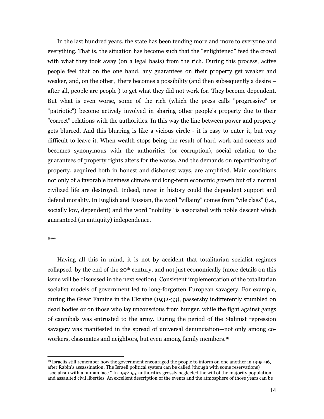In the last hundred years, the state has been tending more and more to everyone and everything. That is, the situation has become such that the "enlightened" feed the crowd with what they took away (on a legal basis) from the rich. During this process, active people feel that on the one hand, any guarantees on their property get weaker and weaker, and, on the other, there becomes a possibility (and then subsequently a desire – after all, people are people ) to get what they did not work for. They become dependent. But what is even worse, some of the rich (which the press calls "progressive" or "patriotic") become actively involved in sharing other people's property due to their "correct" relations with the authorities. In this way the line between power and property gets blurred. And this blurring is like a vicious circle - it is easy to enter it, but very difficult to leave it. When wealth stops being the result of hard work and success and becomes synonymous with the authorities (or corruption), social relation to the guarantees of property rights alters for the worse. And the demands on repartitioning of property, acquired both in honest and dishonest ways, are amplified. Main conditions not only of a favorable business climate and long-term economic growth but of a normal civilized life are destroyed. Indeed, never in history could the dependent support and defend morality. In English and Russian, the word "villainy" comes from "vile class" (i.e., socially low, dependent) and the word "nobility" is associated with noble descent which guaranteed (in antiquity) independence.

\*\*\*

-

Having all this in mind, it is not by accident that totalitarian socialist regimes collapsed by the end of the  $20<sup>th</sup>$  century, and not just economically (more details on this issue will be discussed in the next section). Consistent implementation of the totalitarian socialist models of government led to long-forgotten European savagery. For example, during the Great Famine in the Ukraine (1932-33), passersby indifferently stumbled on dead bodies or on those who lay unconscious from hunger, while the fight against gangs of cannibals was entrusted to the army. During the period of the Stalinist repression savagery was manifested in the spread of universal denunciation—not only among coworkers, classmates and neighbors, but even among family members.<sup>18</sup>

<sup>&</sup>lt;sup>18</sup> Israelis still remember how the government encouraged the people to inform on one another in 1995-96, after Rabin's assassination. The Israeli political system can be called (though with some reservations) "socialism with a human face." In 1992-95, authorities grossly neglected the will of the majority population and assaulted civil liberties. An excellent description of the events and the atmosphere of those years can be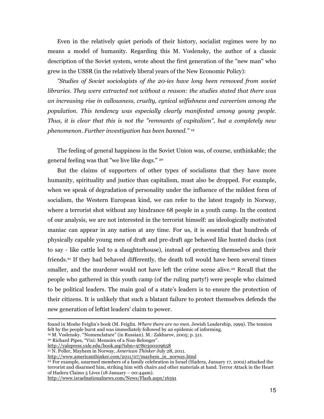Even in the relatively quiet periods of their history, socialist regimes were by no means a model of humanity. Regarding this M. Voslensky, the author of a classic description of the Soviet system, wrote about the first generation of the "new man" who grew in the USSR (in the relatively liberal years of the New Economic Policy):

"Studies of Soviet sociologists of the 20-ies have long been removed from soviet libraries. They were extracted not without a reason: the studies stated that there was an increasing rise in callousness, cruelty, cynical selfishness and careerism among the population. This tendency was especially clearly manifested among young people. Thus, it is clear that this is not the "remnants of capitalism", but a completely new phenomenon. Further investigation has been banned." <sup>19</sup>

The feeling of general happiness in the Soviet Union was, of course, unthinkable; the general feeling was that "we live like dogs." <sup>20</sup>

But the claims of supporters of other types of socialisms that they have more humanity, spirituality and justice than capitalism, must also be dropped. For example, when we speak of degradation of personality under the influence of the mildest form of socialism, the Western European kind, we can refer to the latest tragedy in Norway, where a terrorist shot without any hindrance 68 people in a youth camp. In the context of our analysis, we are not interested in the terrorist himself: an ideologically motivated maniac can appear in any nation at any time. For us, it is essential that hundreds of physically capable young men of draft and pre-draft age behaved like hunted ducks (not to say - like cattle led to a slaughterhouse), instead of protecting themselves and their friends.21 If they had behaved differently, the death toll would have been several times smaller, and the murderer would not have left the crime scene alive.<sup>22</sup> Recall that the people who gathered in this youth camp (of the ruling party!) were people who claimed to be political leaders. The main goal of a state's leaders is to ensure the protection of their citizens. It is unlikely that such a blatant failure to protect themselves defends the new generation of leftist leaders' claim to power.

found in Moshe Feiglin's book (M. Feiglin. Where there are no men. Jewish Leadership, 1999). The tension felt by the people burst and was immediately followed by an epidemic of informing.

<sup>19</sup> M. Voslensky. "Nomenclature" (in Russian). M.: Zakharov, 2005; p. 511.

-

<sup>20</sup> Richard Pipes, "Vixi: Memoirs of a Non-Belonger".

http://yalepress.yale.edu/book.asp?isbn=9780300109658

<sup>21</sup> N. Poller, Mayhem in Norway, American Thinker July 28, 2011.

http://www.americanthinker.com/2011/07/mayhem\_in\_norway.html

<sup>22</sup> For example, unarmed members of a family celebration in Israel (Hadera, January 17, 2002) attacked the terrorist and disarmed him, striking him with chairs and other materials at hand. Terror Attack in the Heart of Hadera Claims 5 Lives (18 January – 00:44am).

http://www.israelnationalnews.com/News/Flash.aspx/16591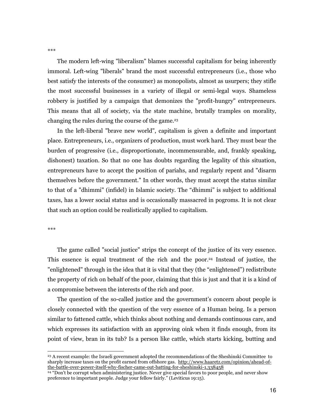The modern left-wing "liberalism" blames successful capitalism for being inherently immoral. Left-wing "liberals" brand the most successful entrepreneurs (i.e., those who best satisfy the interests of the consumer) as monopolists, almost as usurpers; they stifle the most successful businesses in a variety of illegal or semi-legal ways. Shameless robbery is justified by a campaign that demonizes the "profit-hungry" entrepreneurs. This means that all of society, via the state machine, brutally tramples on morality, changing the rules during the course of the game.<sup>23</sup>

In the left-liberal "brave new world", capitalism is given a definite and important place. Entrepreneurs, i.e., organizers of production, must work hard. They must bear the burden of progressive (i.e., disproportionate, incommensurable, and, frankly speaking, dishonest) taxation. So that no one has doubts regarding the legality of this situation, entrepreneurs have to accept the position of pariahs, and regularly repent and "disarm themselves before the government." In other words, they must accept the status similar to that of a "dhimmi" (infidel) in Islamic society. The "dhimmi" is subject to additional taxes, has a lower social status and is occasionally massacred in pogroms. It is not clear that such an option could be realistically applied to capitalism.

\*\*\*

j

The game called "social justice" strips the concept of the justice of its very essence. This essence is equal treatment of the rich and the poor.24 Instead of justice, the "enlightened" through in the idea that it is vital that they (the "enlightened") redistribute the property of rich on behalf of the poor, claiming that this is just and that it is a kind of a compromise between the interests of the rich and poor.

The question of the so-called justice and the government's concern about people is closely connected with the question of the very essence of a Human being. Is a person similar to fattened cattle, which thinks about nothing and demands continuous care, and which expresses its satisfaction with an approving oink when it finds enough, from its point of view, bran in its tub? Is a person like cattle, which starts kicking, butting and

\*\*\*

<sup>23</sup> A recent example: the Israeli government adopted the recommendations of the Sheshinski Committee to sharply increase taxes on the profit earned from offshore gas. http://www.haaretz.com/opinion/ahead-ofthe-battle-over-power-itself-why-fischer-came-out-batting-for-sheshinski-1.338458

<sup>24</sup> "Don't be corrupt when administering justice. Never give special favors to poor people, and never show preference to important people. Judge your fellow fairly." (Leviticus 19:15).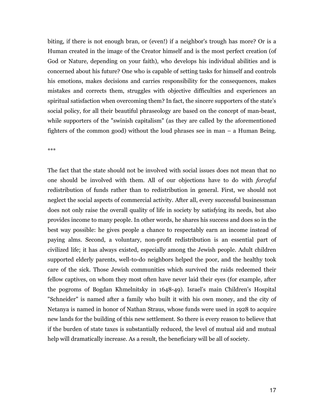biting, if there is not enough bran, or (even!) if a neighbor's trough has more? Or is a Human created in the image of the Creator himself and is the most perfect creation (of God or Nature, depending on your faith), who develops his individual abilities and is concerned about his future? One who is capable of setting tasks for himself and controls his emotions, makes decisions and carries responsibility for the consequences, makes mistakes and corrects them, struggles with objective difficulties and experiences an spiritual satisfaction when overcoming them? In fact, the sincere supporters of the state's social policy, for all their beautiful phraseology are based on the concept of man-beast, while supporters of the "swinish capitalism" (as they are called by the aforementioned fighters of the common good) without the loud phrases see in man – a Human Being.

\*\*\*

The fact that the state should not be involved with social issues does not mean that no one should be involved with them. All of our objections have to do with forceful redistribution of funds rather than to redistribution in general. First, we should not neglect the social aspects of commercial activity. After all, every successful businessman does not only raise the overall quality of life in society by satisfying its needs, but also provides income to many people. In other words, he shares his success and does so in the best way possible: he gives people a chance to respectably earn an income instead of paying alms. Second, a voluntary, non-profit redistribution is an essential part of civilized life; it has always existed, especially among the Jewish people. Adult children supported elderly parents, well-to-do neighbors helped the poor, and the healthy took care of the sick. Those Jewish communities which survived the raids redeemed their fellow captives, on whom they most often have never laid their eyes (for example, after the pogroms of Bogdan Khmelnitsky in 1648-49). Israel's main Children's Hospital "Schneider" is named after a family who built it with his own money, and the city of Netanya is named in honor of Nathan Straus, whose funds were used in 1928 to acquire new lands for the building of this new settlement. So there is every reason to believe that if the burden of state taxes is substantially reduced, the level of mutual aid and mutual help will dramatically increase. As a result, the beneficiary will be all of society.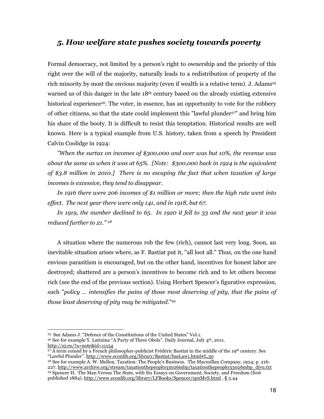# 5. How welfare state pushes society towards poverty

Formal democracy, not limited by a person's right to ownership and the priority of this right over the will of the majority, naturally leads to a redistribution of property of the rich minority by most the envious majority (even if wealth is a relative term). J. Adams<sup>25</sup> warned us of this danger in the late  $18<sup>th</sup>$  century based on the already existing extensive historical experience<sup>26</sup>. The voter, in essence, has an opportunity to vote for the robbery of other citizens, so that the state could implement this "lawful plunder<sup>27"</sup> and bring him his share of the booty. It is difficult to resist this temptation. Historical results are well known. Here is a typical example from U.S. history, taken from a speech by President Calvin Coolidge in 1924:

"When the surtax on incomes of \$300,000 and over was but 10%, the revenue was about the same as when it was at 65%. [Note: \$300,000 back in 1924 is the equivalent of \$3.8 million in 2010.] There is no escaping the fact that when taxation of large incomes is excessive, they tend to disappear.

In 1916 there were 206 incomes of \$1 million or more; then the high rate went into effect. The next year there were only 141, and in 1918, but 67.

In 1919, the number declined to 65. In 1920 it fell to 33 and the next year it was reduced further to 21." <sup>28</sup>

A situation where the numerous rob the few (rich), cannot last very long. Soon, an inevitable situation arises where, as F. Bastiat put it, "all loot all." Thus, on the one hand envious parasitism is encouraged, but on the other hand, incentives for honest labor are destroyed; shattered are a person's incentives to become rich and to let others become rich (see the end of the previous section). Using Herbert Spencer's figurative expression, such "policy … intensifies the pains of those most deserving of pity, that the pains of those least deserving of pity may be mitigated."<sup>29</sup>

-

<sup>25</sup> See Adams J. "Defence of the Constitutions of the United States" Vol.1.

<sup>&</sup>lt;sup>26</sup> See for example Y. Latinina "A Party of Three Obols". Daily Journal, July 4<sup>th</sup>, 2011. http://ej.ru/?a=note&id=11154

<sup>&</sup>lt;sup>27</sup> A term coined by a French philosopher-publicist Frédéric Bastiat in the middle of the 19<sup>th</sup> century. See "Lawful Plunder". http://www.econlib.org/library/Bastiat/basLaw1.html#L.30

<sup>28</sup> See for example A. W. Mellon. Taxation: The People's Business. The Macmillan Company, 1924; p. 216- 227. http://www.archive.org/stream/taxationthepeopl033026mbp/taxationthepeopl033026mbp\_djvu.txt <sup>29</sup> Spencer H. The Man Versus The State, with Six Essays on Government, Society, and Freedom (first published 1884). http://www.econlib.org/library/LFBooks/Spencer/spnMvS.html , § 3.44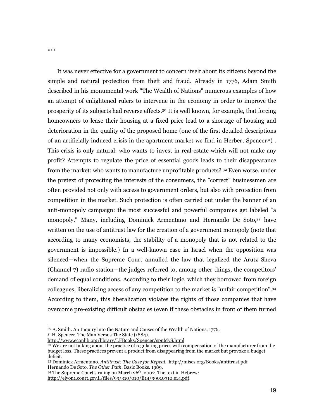It was never effective for a government to concern itself about its citizens beyond the simple and natural protection from theft and fraud. Already in 1776, Adam Smith described in his monumental work "The Wealth of Nations" numerous examples of how an attempt of enlightened rulers to intervene in the economy in order to improve the prosperity of its subjects had reverse effects.30 It is well known, for example, that forcing homeowners to lease their housing at a fixed price lead to a shortage of housing and deterioration in the quality of the proposed home (one of the first detailed descriptions of an artificially induced crisis in the apartment market we find in Herbert Spencer<sup>31</sup>). This crisis is only natural: who wants to invest in real-estate which will not make any profit? Attempts to regulate the price of essential goods leads to their disappearance from the market: who wants to manufacture unprofitable products? 32 Even worse, under the pretext of protecting the interests of the consumers, the "correct" businessmen are often provided not only with access to government orders, but also with protection from competition in the market. Such protection is often carried out under the banner of an anti-monopoly campaign: the most successful and powerful companies get labeled "a monopoly." Many, including Dominick Armentano and Hernando De Soto,<sup>33</sup> have written on the use of antitrust law for the creation of a government monopoly (note that according to many economists, the stability of a monopoly that is not related to the government is impossible.) In a well-known case in Israel when the opposition was silenced—when the Supreme Court annulled the law that legalized the Arutz Sheva (Channel 7) radio station—the judges referred to, among other things, the competitors' demand of equal conditions. According to their logic, which they borrowed from foreign colleagues, liberalizing access of any competition to the market is "unfair competition".<sup>34</sup> According to them, this liberalization violates the rights of those companies that have overcome pre-existing difficult obstacles (even if these obstacles in front of them turned

-

http://elyon1.court.gov.il/files/99/310/010/E14/99010310.e14.pdf

<sup>30</sup> A. Smith. An Inquiry into the Nature and Causes of the Wealth of Nations, 1776.

<sup>&</sup>lt;sup>31</sup> H. Spencer. The Man Versus The State (1884).

http://www.econlib.org/library/LFBooks/Spencer/spnMvS.html

<sup>&</sup>lt;sup>32</sup> We are not talking about the practice of regulating prices with compensation of the manufacturer from the budget loss. These practices prevent a product from disappearing from the market but provoke a budget deficit.

<sup>33</sup> Dominick Armentano. Antitrust: The Case for Repeal. http://mises.org/Books/antitrust.pdf Hernando De Soto. The Other Path. Basic Books. 1989.

<sup>34</sup> The Supreme Court's ruling on March 26th, 2002. The text in Hebrew: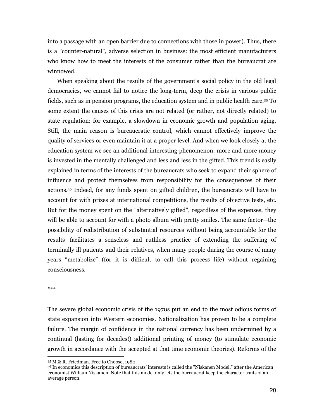into a passage with an open barrier due to connections with those in power). Thus, there is a "counter-natural", adverse selection in business: the most efficient manufacturers who know how to meet the interests of the consumer rather than the bureaucrat are winnowed.

When speaking about the results of the government's social policy in the old legal democracies, we cannot fail to notice the long-term, deep the crisis in various public fields, such as in pension programs, the education system and in public health care.35 To some extent the causes of this crisis are not related (or rather, not directly related) to state regulation: for example, a slowdown in economic growth and population aging. Still, the main reason is bureaucratic control, which cannot effectively improve the quality of services or even maintain it at a proper level. And when we look closely at the education system we see an additional interesting phenomenon: more and more money is invested in the mentally challenged and less and less in the gifted. This trend is easily explained in terms of the interests of the bureaucrats who seek to expand their sphere of influence and protect themselves from responsibility for the consequences of their actions.36 Indeed, for any funds spent on gifted children, the bureaucrats will have to account for with prizes at international competitions, the results of objective tests, etc. But for the money spent on the "alternatively gifted", regardless of the expenses, they will be able to account for with a photo album with pretty smiles. The same factor—the possibility of redistribution of substantial resources without being accountable for the results—facilitates a senseless and ruthless practice of extending the suffering of terminally ill patients and their relatives, when many people during the course of many years "metabolize" (for it is difficult to call this process life) without regaining consciousness.

\*\*\*

The severe global economic crisis of the 1970s put an end to the most odious forms of state expansion into Western economies. Nationalization has proven to be a complete failure. The margin of confidence in the national currency has been undermined by a continual (lasting for decades!) additional printing of money (to stimulate economic growth in accordance with the accepted at that time economic theories). Reforms of the

<sup>-</sup><sup>35</sup> M.& R. Friedman. Free to Choose, 1980.

<sup>36</sup> In economics this description of bureaucrats' interests is called the "Niskanen Model," after the American economist William Niskanen. Note that this model only lets the bureaucrat keep the character traits of an average person.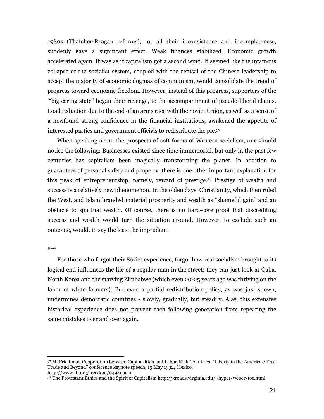1980s (Thatcher-Reagan reforms), for all their inconsistence and incompleteness, suddenly gave a significant effect. Weak finances stabilized. Economic growth accelerated again. It was as if capitalism got a second wind. It seemed like the infamous collapse of the socialist system, coupled with the refusal of the Chinese leadership to accept the majority of economic dogmas of communism, would consolidate the trend of progress toward economic freedom. However, instead of this progress, supporters of the '"big caring state" began their revenge, to the accompaniment of pseudo-liberal claims. Load reduction due to the end of an arms race with the Soviet Union, as well as a sense of a newfound strong confidence in the financial institutions, awakened the appetite of interested parties and government officials to redistribute the pie.<sup>37</sup>

When speaking about the prospects of soft forms of Western socialism, one should notice the following: Businesses existed since time immemorial, but only in the past few centuries has capitalism been magically transforming the planet. In addition to guarantees of personal safety and property, there is one other important explanation for this peak of entrepreneurship, namely, reward of prestige.38 Prestige of wealth and success is a relatively new phenomenon. In the olden days, Christianity, which then ruled the West, and Islam branded material prosperity and wealth as "shameful gain" and an obstacle to spiritual wealth. Of course, there is no hard-core proof that discrediting success and wealth would turn the situation around. However, to exclude such an outcome, would, to say the least, be imprudent.

#### \*\*\*

-

For those who forgot their Soviet experience, forgot how real socialism brought to its logical end influences the life of a regular man in the street; they can just look at Cuba, North Korea and the starving Zimbabwe (which even 20-25 years ago was thriving on the labor of white farmers). But even a partial redistribution policy, as was just shown, undermines democratic countries - slowly, gradually, but steadily. Alas, this extensive historical experience does not prevent each following generation from repeating the same mistakes over and over again.

<sup>37</sup> M. Friedman, Cooperation between Capital-Rich and Labor-Rich Countries. "Liberty in the Americas: Free Trade and Beyond" conference keynote speech, 19 May 1992, Mexico.

http://www.fff.org/freedom/0494d.asp

<sup>&</sup>lt;sup>38</sup> The Protestant Ethics and the Spirit of Capitalism http://xroads.virginia.edu/~hyper/weber/toc.html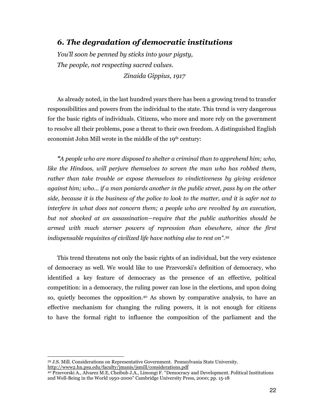# 6. The degradation of democratic institutions

You'll soon be penned by sticks into your pigsty, The people, not respecting sacred values. Zinaida Gippius, 1917

As already noted, in the last hundred years there has been a growing trend to transfer responsibilities and powers from the individual to the state. This trend is very dangerous for the basic rights of individuals. Citizens, who more and more rely on the government to resolve all their problems, pose a threat to their own freedom. A distinguished English economist John Mill wrote in the middle of the 19<sup>th</sup> century:

"A people who are more disposed to shelter a criminal than to apprehend him; who, like the Hindoos, will perjure themselves to screen the man who has robbed them, rather than take trouble or expose themselves to vindictiveness by giving evidence against him; who… if a man poniards another in the public street, pass by on the other side, because it is the business of the police to look to the matter, and it is safer not to interfere in what does not concern them; a people who are revolted by an execution, but not shocked at an assassination—require that the public authorities should be armed with much sterner powers of repression than elsewhere, since the first indispensable requisites of civilized life have nothing else to rest on".<sup>39</sup>

This trend threatens not only the basic rights of an individual, but the very existence of democracy as well. We would like to use Przevorski's definition of democracy, who identified a key feature of democracy as the presence of an effective, political competition: in a democracy, the ruling power can lose in the elections, and upon doing so, quietly becomes the opposition.40 As shown by comparative analysis, to have an effective mechanism for changing the ruling powers, it is not enough for citizens to have the formal right to influence the composition of the parliament and the

-

<sup>39</sup> J.S. Mill. Considerations on Representative Government. Pennsylvania State University. http://www2.hn.psu.edu/faculty/jmanis/jsmill/considerations.pdf

<sup>40</sup> Przevorski A., Alvarez M.E, Cheibub J.A., Limongi F. "Democracy and Development. Political Institutions and Well-Being in the World 1950-2000" Cambridge University Press, 2000; pp. 15-18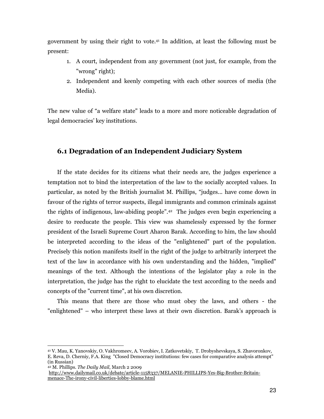government by using their right to vote.41 In addition, at least the following must be present:

- 1. A court, independent from any government (not just, for example, from the "wrong" right);
- 2. Independent and keenly competing with each other sources of media (the Media).

The new value of "a welfare state" leads to a more and more noticeable degradation of legal democracies' key institutions.

# 6.1 Degradation of an Independent Judiciary System

If the state decides for its citizens what their needs are, the judges experience a temptation not to bind the interpretation of the law to the socially accepted values. In particular, as noted by the British journalist M. Phillips, "judges... have come down in favour of the rights of terror suspects, illegal immigrants and common criminals against the rights of indigenous, law-abiding people".42 The judges even begin experiencing a desire to reeducate the people. This view was shamelessly expressed by the former president of the Israeli Supreme Court Aharon Barak. According to him, the law should be interpreted according to the ideas of the "enlightened" part of the population. Precisely this notion manifests itself in the right of the judge to arbitrarily interpret the text of the law in accordance with his own understanding and the hidden, "implied" meanings of the text. Although the intentions of the legislator play a role in the interpretation, the judge has the right to elucidate the text according to the needs and concepts of the "current time", at his own discretion.

This means that there are those who must obey the laws, and others - the "enlightened" – who interpret these laws at their own discretion. Barak's approach is

<sup>41</sup> V. Mau, K. Yanovskiy, O. Vakhromeev, A. Vorobiev, I. Zatkovetskiy, T. Drobyshevskaya, S. Zhavoronkov, E. Reva, D. Cherniy, F.A. King "Closed Democracy institutions: few cases for comparative analysis attempt" (in Russian)

<sup>42</sup> M. Phillips. The Daily Mail, March 2 2009

http://www.dailymail.co.uk/debate/article-1158337/MELANIE-PHILLIPS-Yes-Big-Brother-Britainmenace-The-irony-civil-liberties-lobby-blame.html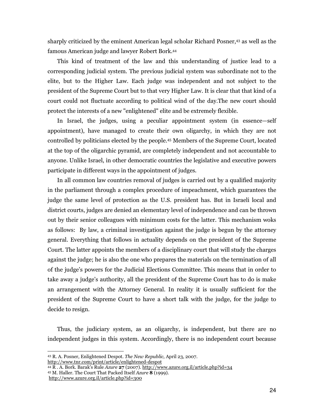sharply criticized by the eminent American legal scholar Richard Posner,43 as well as the famous American judge and lawyer Robert Bork.<sup>44</sup>

This kind of treatment of the law and this understanding of justice lead to a corresponding judicial system. The previous judicial system was subordinate not to the elite, but to the Higher Law. Each judge was independent and not subject to the president of the Supreme Court but to that very Higher Law. It is clear that that kind of a court could not fluctuate according to political wind of the day.The new court should protect the interests of a new "enlightened" elite and be extremely flexible.

In Israel, the judges, using a peculiar appointment system (in essence—self appointment), have managed to create their own oligarchy, in which they are not controlled by politicians elected by the people.45 Members of the Supreme Court, located at the top of the oligarchic pyramid, are completely independent and not accountable to anyone. Unlike Israel, in other democratic countries the legislative and executive powers participate in different ways in the appointment of judges.

In all common law countries removal of judges is carried out by a qualified majority in the parliament through a complex procedure of impeachment, which guarantees the judge the same level of protection as the U.S. president has. But in Israeli local and district courts, judges are denied an elementary level of independence and can be thrown out by their senior colleagues with minimum costs for the latter. This mechanism woks as follows: By law, a criminal investigation against the judge is begun by the attorney general. Everything that follows in actuality depends on the president of the Supreme Court. The latter appoints the members of a disciplinary court that will study the charges against the judge; he is also the one who prepares the materials on the termination of all of the judge's powers for the Judicial Elections Committee. This means that in order to take away a judge's authority, all the president of the Supreme Court has to do is make an arrangement with the Attorney General. In reality it is usually sufficient for the president of the Supreme Court to have a short talk with the judge, for the judge to decide to resign.

Thus, the judiciary system, as an oligarchy, is independent, but there are no independent judges in this system. Accordingly, there is no independent court because

<sup>43</sup> R. A. Posner, Enlightened Despot. The New Republic, April 23, 2007. http://www.tnr.com/print/article/enlightened-despot

 $^{44}$  R . A. Bork. Barak's Rule Azure 27 (2007). http://www.azure.org.il/article.php?id=34

<sup>45</sup> M. Haller. The Court That Packed Itself Azure 8 (1999).

http://www.azure.org.il/article.php?id=300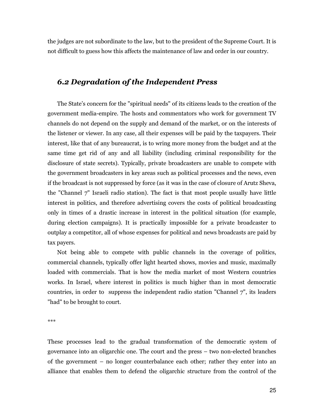the judges are not subordinate to the law, but to the president of the Supreme Court. It is not difficult to guess how this affects the maintenance of law and order in our country.

# 6.2 Degradation of the Independent Press

The State's concern for the "spiritual needs" of its citizens leads to the creation of the government media-empire. The hosts and commentators who work for government TV channels do not depend on the supply and demand of the market, or on the interests of the listener or viewer. In any case, all their expenses will be paid by the taxpayers. Their interest, like that of any bureaucrat, is to wring more money from the budget and at the same time get rid of any and all liability (including criminal responsibility for the disclosure of state secrets). Typically, private broadcasters are unable to compete with the government broadcasters in key areas such as political processes and the news, even if the broadcast is not suppressed by force (as it was in the case of closure of Arutz Sheva, the "Channel 7" Israeli radio station). The fact is that most people usually have little interest in politics, and therefore advertising covers the costs of political broadcasting only in times of a drastic increase in interest in the political situation (for example, during election campaigns). It is practically impossible for a private broadcaster to outplay a competitor, all of whose expenses for political and news broadcasts are paid by tax payers.

Not being able to compete with public channels in the coverage of politics, commercial channels, typically offer light hearted shows, movies and music, maximally loaded with commercials. That is how the media market of most Western countries works. In Israel, where interest in politics is much higher than in most democratic countries, in order to suppress the independent radio station "Channel 7", its leaders "had" to be brought to court.

\*\*\*

These processes lead to the gradual transformation of the democratic system of governance into an oligarchic one. The court and the press – two non-elected branches of the government – no longer counterbalance each other; rather they enter into an alliance that enables them to defend the oligarchic structure from the control of the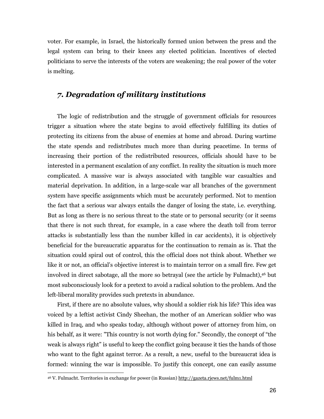voter. For example, in Israel, the historically formed union between the press and the legal system can bring to their knees any elected politician. Incentives of elected politicians to serve the interests of the voters are weakening; the real power of the voter is melting.

# 7. Degradation of military institutions

The logic of redistribution and the struggle of government officials for resources trigger a situation where the state begins to avoid effectively fulfilling its duties of protecting its citizens from the abuse of enemies at home and abroad. During wartime the state spends and redistributes much more than during peacetime. In terms of increasing their portion of the redistributed resources, officials should have to be interested in a permanent escalation of any conflict. In reality the situation is much more complicated. A massive war is always associated with tangible war casualties and material deprivation. In addition, in a large-scale war all branches of the government system have specific assignments which must be accurately performed. Not to mention the fact that a serious war always entails the danger of losing the state, i.e. everything. But as long as there is no serious threat to the state or to personal security (or it seems that there is not such threat, for example, in a case where the death toll from terror attacks is substantially less than the number killed in car accidents), it is objectively beneficial for the bureaucratic apparatus for the continuation to remain as is. That the situation could spiral out of control, this the official does not think about. Whether we like it or not, an official's objective interest is to maintain terror on a small fire. Few get involved in direct sabotage, all the more so betrayal (see the article by Fulmacht),46 but most subconsciously look for a pretext to avoid a radical solution to the problem. And the left-liberal morality provides such pretexts in abundance.

First, if there are no absolute values, why should a soldier risk his life? This idea was voiced by a leftist activist Cindy Sheehan, the mother of an American soldier who was killed in Iraq, and who speaks today, although without power of attorney from him, on his behalf, as it were: "This country is not worth dying for." Secondly, the concept of "the weak is always right" is useful to keep the conflict going because it ties the hands of those who want to the fight against terror. As a result, a new, useful to the bureaucrat idea is formed: winning the war is impossible. To justify this concept, one can easily assume

<sup>&</sup>lt;sup>46</sup> V. Fulmacht. Territories in exchange for power (in Russian) http://gazeta.rjews.net/fulm1.html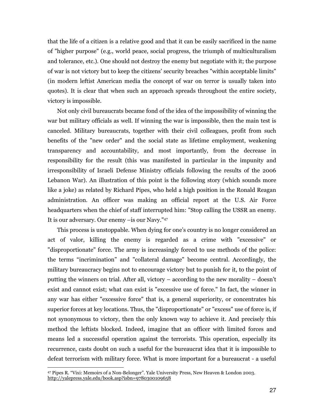that the life of a citizen is a relative good and that it can be easily sacrificed in the name of "higher purpose" (e.g., world peace, social progress, the triumph of multiculturalism and tolerance, etc.). One should not destroy the enemy but negotiate with it; the purpose of war is not victory but to keep the citizens' security breaches "within acceptable limits" (in modern leftist American media the concept of war on terror is usually taken into quotes). It is clear that when such an approach spreads throughout the entire society, victory is impossible.

Not only civil bureaucrats became fond of the idea of the impossibility of winning the war but military officials as well. If winning the war is impossible, then the main test is canceled. Military bureaucrats, together with their civil colleagues, profit from such benefits of the "new order" and the social state as lifetime employment, weakening transparency and accountability, and most importantly, from the decrease in responsibility for the result (this was manifested in particular in the impunity and irresponsibility of Israeli Defense Ministry officials following the results of the 2006 Lebanon War). An illustration of this point is the following story (which sounds more like a joke) as related by Richard Pipes, who held a high position in the Ronald Reagan administration. An officer was making an official report at the U.S. Air Force headquarters when the chief of staff interrupted him: "Stop calling the USSR an enemy. It is our adversary. Our enemy –is our Navy."<sup>47</sup>

This process is unstoppable. When dying for one's country is no longer considered an act of valor, killing the enemy is regarded as a crime with "excessive" or "disproportionate" force. The army is increasingly forced to use methods of the police: the terms "incrimination" and "collateral damage" become central. Accordingly, the military bureaucracy begins not to encourage victory but to punish for it, to the point of putting the winners on trial. After all, victory – according to the new morality – doesn't exist and cannot exist; what can exist is "excessive use of force." In fact, the winner in any war has either "excessive force" that is, a general superiority, or concentrates his superior forces at key locations. Thus, the "disproportionate" or "excess" use of force is, if not synonymous to victory, then the only known way to achieve it. And precisely this method the leftists blocked. Indeed, imagine that an officer with limited forces and means led a successful operation against the terrorists. This operation, especially its recurrence, casts doubt on such a useful for the bureaucrat idea that it is impossible to defeat terrorism with military force. What is more important for a bureaucrat - a useful

<sup>47</sup> Pipes R. "Vixi: Memoirs of a Non-Belonger". Yale University Press, New Heaven & London 2003. http://yalepress.yale.edu/book.asp?isbn=9780300109658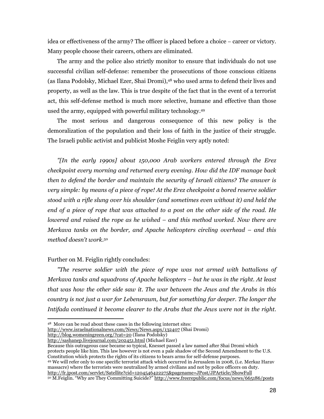idea or effectiveness of the army? The officer is placed before a choice – career or victory. Many people choose their careers, others are eliminated.

The army and the police also strictly monitor to ensure that individuals do not use successful civilian self-defense: remember the prosecutions of those conscious citizens (as Ilana Podolsky, Michael Ezer, Shai Dromi),48 who used arms to defend their lives and property, as well as the law. This is true despite of the fact that in the event of a terrorist act, this self-defense method is much more selective, humane and effective than those used the army, equipped with powerful military technology.<sup>49</sup>

The most serious and dangerous consequence of this new policy is the demoralization of the population and their loss of faith in the justice of their struggle. The Israeli public activist and publicist Moshe Feiglin very aptly noted:

"[In the early 1990s] about 150,000 Arab workers entered through the Erez checkpoint every morning and returned every evening. How did the IDF manage back then to defend the border and maintain the security of Israeli citizens? The answer is very simple: by means of a piece of rope! At the Erez checkpoint a bored reserve soldier stood with a rifle slung over his shoulder (and sometimes even without it) and held the end of a piece of rope that was attached to a post on the other side of the road. He lowered and raised the rope as he wished – and this method worked. Now there are Merkava tanks on the border, and Apache helicopters circling overhead – and this method doesn't work.<sup>50</sup>

#### Further on M. Feiglin rightly concludes:

-

"The reserve soldier with the piece of rope was not armed with battalions of Merkava tanks and squadrons of Apache helicopters – but he was in the right. At least that was how the other side saw it. The war between the Jews and the Arabs in this country is not just a war for Lebensraum, but for something far deeper. The longer the Intifada continued it become clearer to the Arabs that the Jews were not in the right.

http://www.israelnationalnews.com/News/News.aspx/132407 (Shai Dromi)

http://blog.womeningreen.org/?cat=20 (Ilana Podolsky)

Because this outrageous case became so typical, Knesset passed a law named after Shai Dromi which protects people like him. This law however is not even a pale shadow of the Second Amendment to the U.S. Constitution which protects the rights of its citizens to bears arms for self-defense purposes.

<sup>48</sup> More can be read about these cases in the following internet sites:

http://sashanep.livejournal.com/202451.html (Michael Ezer)

<sup>49</sup> We will refer only to one specific terrorist attack which occurred in Jerusalem in 2008, (i.e. Merkaz Harav massacre) where the terrorists were neutralized by armed civilians and not by police officers on duty. http://fr.jpost.com/servlet/Satellite?cid=1204546422275&pagename=JPost/JPArticle/ShowFull 50 M.Feiglin. "Why are They Committing Suicide?" http://www.freerepublic.com/focus/news/665186/posts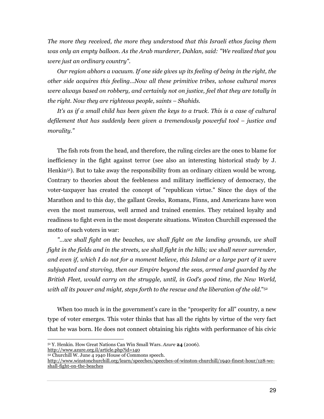The more they received, the more they understood that this Israeli ethos facing them was only an empty balloon. As the Arab murderer, Dahlan, said: "We realized that you were just an ordinary country".

Our region abhors a vacuum. If one side gives up its feeling of being in the right, the other side acquires this feeling…Now all these primitive tribes, whose cultural mores were always based on robbery, and certainly not on justice, feel that they are totally in the right. Now they are righteous people, saints – Shahids.

It's as if a small child has been given the keys to a truck. This is a case of cultural defilement that has suddenly been given a tremendously powerful tool – justice and morality."

The fish rots from the head, and therefore, the ruling circles are the ones to blame for inefficiency in the fight against terror (see also an interesting historical study by J. Henkin<sup>51</sup>). But to take away the responsibility from an ordinary citizen would be wrong. Contrary to theories about the feebleness and military inefficiency of democracy, the voter-taxpayer has created the concept of "republican virtue." Since the days of the Marathon and to this day, the gallant Greeks, Romans, Finns, and Americans have won even the most numerous, well armed and trained enemies. They retained loyalty and readiness to fight even in the most desperate situations. Winston Churchill expressed the motto of such voters in war:

"…we shall fight on the beaches, we shall fight on the landing grounds, we shall fight in the fields and in the streets, we shall fight in the hills; we shall never surrender, and even if, which I do not for a moment believe, this Island or a large part of it were subjugated and starving, then our Empire beyond the seas, armed and guarded by the British Fleet, would carry on the struggle, until, in God's good time, the New World, with all its power and might, steps forth to the rescue and the liberation of the old."<sup>52</sup>

When too much is in the government's care in the "prosperity for all" country, a new type of voter emerges. This voter thinks that has all the rights by virtue of the very fact that he was born. He does not connect obtaining his rights with performance of his civic

http://www.azure.org.il/article.php?id=140

-

<sup>&</sup>lt;sup>51</sup> Y. Henkin. How Great Nations Can Win Small Wars. Azure **24** (2006).

<sup>52</sup> Churchill W. June 4 1940 House of Commons speech.

http://www.winstonchurchill.org/learn/speeches/speeches-of-winston-churchill/1940-finest-hour/128-weshall-fight-on-the-beaches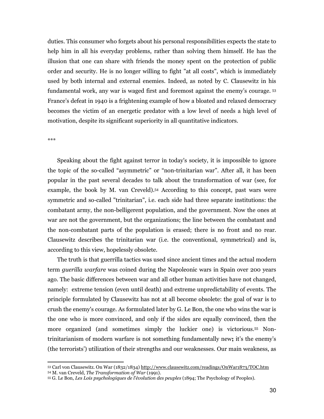duties. This consumer who forgets about his personal responsibilities expects the state to help him in all his everyday problems, rather than solving them himself. He has the illusion that one can share with friends the money spent on the protection of public order and security. He is no longer willing to fight "at all costs", which is immediately used by both internal and external enemies. Indeed, as noted by C. Clausewitz in his fundamental work, any war is waged first and foremost against the enemy's courage.<sup>53</sup> France's defeat in 1940 is a frightening example of how a bloated and relaxed democracy becomes the victim of an energetic predator with a low level of needs a high level of motivation, despite its significant superiority in all quantitative indicators.

\*\*\*

-

Speaking about the fight against terror in today's society, it is impossible to ignore the topic of the so-called "asymmetric" or "non-trinitarian war". After all, it has been popular in the past several decades to talk about the transformation of war (see, for example, the book by M. van Creveld).54 According to this concept, past wars were symmetric and so-called "trinitarian", i.e. each side had three separate institutions: the combatant army, the non-belligerent population, and the government. Now the ones at war are not the government, but the organizations; the line between the combatant and the non-combatant parts of the population is erased; there is no front and no rear. Clausewitz describes the trinitarian war (i.e. the conventional, symmetrical) and is, according to this view, hopelessly obsolete.

The truth is that guerrilla tactics was used since ancient times and the actual modern term guerilla warfare was coined during the Napoleonic wars in Spain over 200 years ago. The basic differences between war and all other human activities have not changed, namely: extreme tension (even until death) and extreme unpredictability of events. The principle formulated by Clausewitz has not at all become obsolete: the goal of war is to crush the enemy's courage. As formulated later by G. Le Bon, the one who wins the war is the one who is more convinced, and only if the sides are equally convinced, then the more organized (and sometimes simply the luckier one) is victorious.55 Nontrinitarianism of modern warfare is not something fundamentally new; it's the enemy's (the terrorists') utilization of their strengths and our weaknesses. Our main weakness, as

<sup>53</sup> Carl von Clausewitz. On War (1832/1834) http://www.clausewitz.com/readings/OnWar1873/TOC.htm

<sup>54</sup> M. van Creveld, The Transformation of War (1991).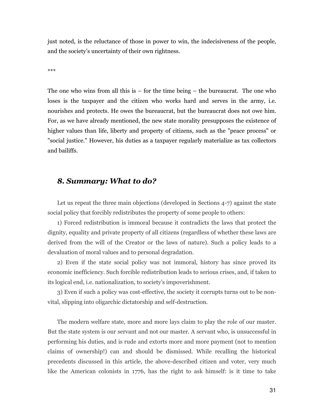just noted, is the reluctance of those in power to win, the indecisiveness of the people, and the society's uncertainty of their own rightness.

\*\*\*

The one who wins from all this is  $-$  for the time being  $-$  the bureaucrat. The one who loses is the taxpayer and the citizen who works hard and serves in the army, i.e. nourishes and protects. He owes the bureaucrat, but the bureaucrat does not owe him. For, as we have already mentioned, the new state morality presupposes the existence of higher values than life, liberty and property of citizens, such as the "peace process" or "social justice." However, his duties as a taxpayer regularly materialize as tax collectors and bailiffs.

### 8. Summary: What to do?

Let us repeat the three main objections (developed in Sections 4-7) against the state social policy that forcibly redistributes the property of some people to others:

1) Forced redistribution is immoral because it contradicts the laws that protect the dignity, equality and private property of all citizens (regardless of whether these laws are derived from the will of the Creator or the laws of nature). Such a policy leads to a devaluation of moral values and to personal degradation.

2) Even if the state social policy was not immoral, history has since proved its economic inefficiency. Such forcible redistribution leads to serious crises, and, if taken to its logical end, i.e. nationalization, to society's impoverishment.

3) Even if such a policy was cost-effective, the society it corrupts turns out to be nonvital, slipping into oligarchic dictatorship and self-destruction.

The modern welfare state, more and more lays claim to play the role of our master. But the state system is our servant and not our master. A servant who, is unsuccessful in performing his duties, and is rude and extorts more and more payment (not to mention claims of ownership!) can and should be dismissed. While recalling the historical precedents discussed in this article, the above-described citizen and voter, very much like the American colonists in 1776, has the right to ask himself: is it time to take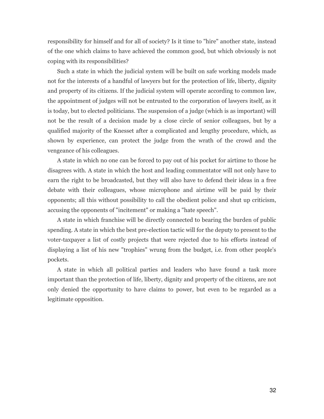responsibility for himself and for all of society? Is it time to "hire" another state, instead of the one which claims to have achieved the common good, but which obviously is not coping with its responsibilities?

Such a state in which the judicial system will be built on safe working models made not for the interests of a handful of lawyers but for the protection of life, liberty, dignity and property of its citizens. If the judicial system will operate according to common law, the appointment of judges will not be entrusted to the corporation of lawyers itself, as it is today, but to elected politicians. The suspension of a judge (which is as important) will not be the result of a decision made by a close circle of senior colleagues, but by a qualified majority of the Knesset after a complicated and lengthy procedure, which, as shown by experience, can protect the judge from the wrath of the crowd and the vengeance of his colleagues.

A state in which no one can be forced to pay out of his pocket for airtime to those he disagrees with. A state in which the host and leading commentator will not only have to earn the right to be broadcasted, but they will also have to defend their ideas in a free debate with their colleagues, whose microphone and airtime will be paid by their opponents; all this without possibility to call the obedient police and shut up criticism, accusing the opponents of "incitement" or making a "hate speech".

A state in which franchise will be directly connected to bearing the burden of public spending. A state in which the best pre-election tactic will for the deputy to present to the voter-taxpayer a list of costly projects that were rejected due to his efforts instead of displaying a list of his new "trophies" wrung from the budget, i.e. from other people's pockets.

A state in which all political parties and leaders who have found a task more important than the protection of life, liberty, dignity and property of the citizens, are not only denied the opportunity to have claims to power, but even to be regarded as a legitimate opposition.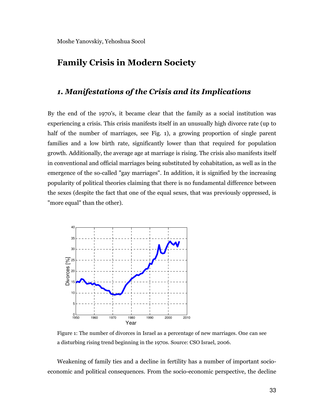# Family Crisis in Modern Society

# 1. Manifestations of the Crisis and its Implications

By the end of the 1970's, it became clear that the family as a social institution was experiencing a crisis. This crisis manifests itself in an unusually high divorce rate (up to half of the number of marriages, see Fig. 1), a growing proportion of single parent families and a low birth rate, significantly lower than that required for population growth. Additionally, the average age at marriage is rising. The crisis also manifests itself in conventional and official marriages being substituted by cohabitation, as well as in the emergence of the so-called "gay marriages". In addition, it is signified by the increasing popularity of political theories claiming that there is no fundamental difference between the sexes (despite the fact that one of the equal sexes, that was previously oppressed, is "more equal" than the other).



Figure 1: The number of divorces in Israel as a percentage of new marriages. One can see a disturbing rising trend beginning in the 1970s. Source: CSO Israel, 2006.

Weakening of family ties and a decline in fertility has a number of important socioeconomic and political consequences. From the socio-economic perspective, the decline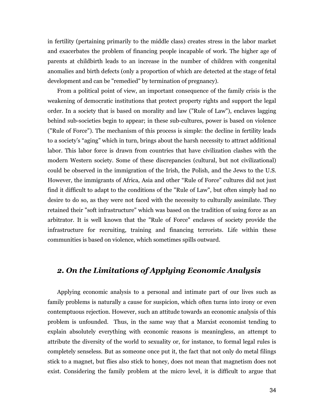in fertility (pertaining primarily to the middle class) creates stress in the labor market and exacerbates the problem of financing people incapable of work. The higher age of parents at childbirth leads to an increase in the number of children with congenital anomalies and birth defects (only a proportion of which are detected at the stage of fetal development and can be "remedied" by termination of pregnancy).

From a political point of view, an important consequence of the family crisis is the weakening of democratic institutions that protect property rights and support the legal order. In a society that is based on morality and law ("Rule of Law"), enclaves lagging behind sub-societies begin to appear; in these sub-cultures, power is based on violence ("Rule of Force"). The mechanism of this process is simple: the decline in fertility leads to a society's "aging" which in turn, brings about the harsh necessity to attract additional labor. This labor force is drawn from countries that have civilization clashes with the modern Western society. Some of these discrepancies (cultural, but not civilizational) could be observed in the immigration of the Irish, the Polish, and the Jews to the U.S. However, the immigrants of Africa, Asia and other "Rule of Force" cultures did not just find it difficult to adapt to the conditions of the "Rule of Law", but often simply had no desire to do so, as they were not faced with the necessity to culturally assimilate. They retained their "soft infrastructure" which was based on the tradition of using force as an arbitrator. It is well known that the "Rule of Force" enclaves of society provide the infrastructure for recruiting, training and financing terrorists. Life within these communities is based on violence, which sometimes spills outward.

# 2. On the Limitations of Applying Economic Analysis

Applying economic analysis to a personal and intimate part of our lives such as family problems is naturally a cause for suspicion, which often turns into irony or even contemptuous rejection. However, such an attitude towards an economic analysis of this problem is unfounded. Thus, in the same way that a Marxist economist tending to explain absolutely everything with economic reasons is meaningless, an attempt to attribute the diversity of the world to sexuality or, for instance, to formal legal rules is completely senseless. But as someone once put it, the fact that not only do metal filings stick to a magnet, but flies also stick to honey, does not mean that magnetism does not exist. Considering the family problem at the micro level, it is difficult to argue that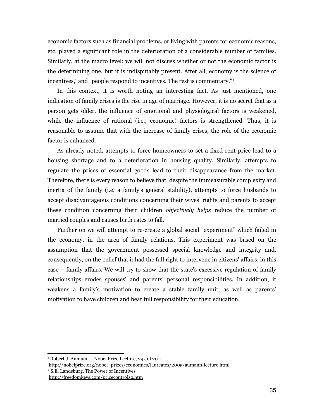economic factors such as financial problems, or living with parents for economic reasons, etc. played a significant role in the deterioration of a considerable number of families. Similarly, at the macro level: we will not discuss whether or not the economic factor is the determining one, but it is indisputably present. After all, economy is the science of incentives,<sup>1</sup> and "people respond to incentives. The rest is commentary."<sup>2</sup>

In this context, it is worth noting an interesting fact. As just mentioned, one indication of family crises is the rise in age of marriage. However, it is no secret that as a person gets older, the influence of emotional and physiological factors is weakened, while the influence of rational (i.e., economic) factors is strengthened. Thus, it is reasonable to assume that with the increase of family crises, the role of the economic factor is enhanced.

As already noted, attempts to force homeowners to set a fixed rent price lead to a housing shortage and to a deterioration in housing quality. Similarly, attempts to regulate the prices of essential goods lead to their disappearance from the market. Therefore, there is every reason to believe that, despite the immeasurable complexity and inertia of the family (i.e. a family's general stability), attempts to force husbands to accept disadvantageous conditions concerning their wives' rights and parents to accept these condition concerning their children *objectively helps* reduce the number of married couples and causes birth rates to fall.

Further on we will attempt to re-create a global social "experiment" which failed in the economy, in the area of family relations. This experiment was based on the assumption that the government possessed special knowledge and integrity and, consequently, on the belief that it had the full right to intervene in citizens' affairs, in this case – family affairs. We will try to show that the state's excessive regulation of family relationships erodes spouses' and parents' personal responsibilities. In addition, it weakens a family's motivation to create a stable family unit, as well as parents' motivation to have children and bear full responsibility for their education.

<sup>1</sup> Robert J. Aumann – Nobel Prize Lecture, 29 Jul 2011.

http://nobelprize.org/nobel\_prizes/economics/laureates/2005/aumann-lecture.html

<sup>2</sup> S.E. Landsburg, The Power of Incentives

http://freedomkeys.com/pricecontrols2.htm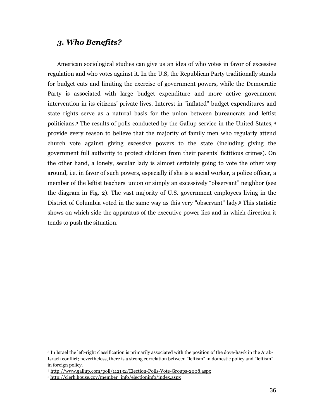# 3. Who Benefits?

American sociological studies can give us an idea of who votes in favor of excessive regulation and who votes against it. In the U.S, the Republican Party traditionally stands for budget cuts and limiting the exercise of government powers, while the Democratic Party is associated with large budget expenditure and more active government intervention in its citizens' private lives. Interest in "inflated" budget expenditures and state rights serve as a natural basis for the union between bureaucrats and leftist politicians.<sup>3</sup> The results of polls conducted by the Gallup service in the United States, 4 provide every reason to believe that the majority of family men who regularly attend church vote against giving excessive powers to the state (including giving the government full authority to protect children from their parents' fictitious crimes). On the other hand, a lonely, secular lady is almost certainly going to vote the other way around, i.e. in favor of such powers, especially if she is a social worker, a police officer, a member of the leftist teachers' union or simply an excessively "observant" neighbor (see the diagram in Fig. 2). The vast majority of U.S. government employees living in the District of Columbia voted in the same way as this very "observant" lady.<sup>5</sup> This statistic shows on which side the apparatus of the executive power lies and in which direction it tends to push the situation.

 3 In Israel the left-right classification is primarily associated with the position of the dove-hawk in the Arab-Israeli conflict; nevertheless, there is a strong correlation between "leftism" in domestic policy and "leftism" in foreign policy.

<sup>4</sup> http://www.gallup.com/poll/112132/Election-Polls-Vote-Groups-2008.aspx

<sup>5</sup> http://clerk.house.gov/member\_info/electioninfo/index.aspx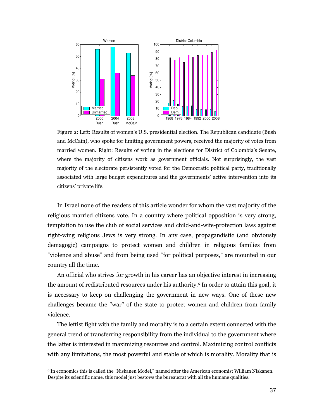

Figure 2: Left: Results of women's U.S. presidential election. The Republican candidate (Bush and McCain), who spoke for limiting government powers, received the majority of votes from married women. Right: Results of voting in the elections for District of Colombia's Senate, where the majority of citizens work as government officials. Not surprisingly, the vast majority of the electorate persistently voted for the Democratic political party, traditionally associated with large budget expenditures and the governments' active intervention into its citizens' private life.

In Israel none of the readers of this article wonder for whom the vast majority of the religious married citizens vote. In a country where political opposition is very strong, temptation to use the club of social services and child-and-wife-protection laws against right-wing religious Jews is very strong. In any case, propagandistic (and obviously demagogic) campaigns to protect women and children in religious families from "violence and abuse" and from being used "for political purposes," are mounted in our country all the time.

An official who strives for growth in his career has an objective interest in increasing the amount of redistributed resources under his authority.<sup>6</sup> In order to attain this goal, it is necessary to keep on challenging the government in new ways. One of these new challenges became the "war" of the state to protect women and children from family violence.

The leftist fight with the family and morality is to a certain extent connected with the general trend of transferring responsibility from the individual to the government where the latter is interested in maximizing resources and control. Maximizing control conflicts with any limitations, the most powerful and stable of which is morality. Morality that is

<sup>6</sup> In economics this is called the "Niskanen Model," named after the American economist William Niskanen. Despite its scientific name, this model just bestows the bureaucrat with all the humane qualities.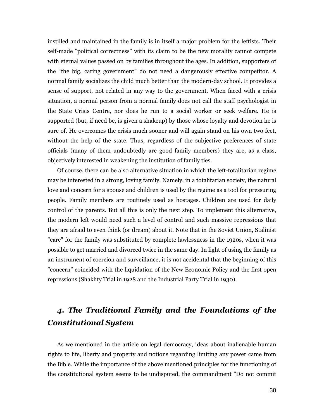instilled and maintained in the family is in itself a major problem for the leftists. Their self-made "political correctness" with its claim to be the new morality cannot compete with eternal values passed on by families throughout the ages. In addition, supporters of the "the big, caring government" do not need a dangerously effective competitor. A normal family socializes the child much better than the modern-day school. It provides a sense of support, not related in any way to the government. When faced with a crisis situation, a normal person from a normal family does not call the staff psychologist in the State Crisis Centre, nor does he run to a social worker or seek welfare. He is supported (but, if need be, is given a shakeup) by those whose loyalty and devotion he is sure of. He overcomes the crisis much sooner and will again stand on his own two feet, without the help of the state. Thus, regardless of the subjective preferences of state officials (many of them undoubtedly are good family members) they are, as a class, objectively interested in weakening the institution of family ties.

Of course, there can be also alternative situation in which the left-totalitarian regime may be interested in a strong, loving family. Namely, in a totalitarian society, the natural love and concern for a spouse and children is used by the regime as a tool for pressuring people. Family members are routinely used as hostages. Children are used for daily control of the parents. But all this is only the next step. To implement this alternative, the modern left would need such a level of control and such massive repressions that they are afraid to even think (or dream) about it. Note that in the Soviet Union, Stalinist "care" for the family was substituted by complete lawlessness in the 1920s, when it was possible to get married and divorced twice in the same day. In light of using the family as an instrument of coercion and surveillance, it is not accidental that the beginning of this "concern" coincided with the liquidation of the New Economic Policy and the first open repressions (Shakhty Trial in 1928 and the Industrial Party Trial in 1930).

# 4. The Traditional Family and the Foundations of the Constitutional System

As we mentioned in the article on legal democracy, ideas about inalienable human rights to life, liberty and property and notions regarding limiting any power came from the Bible. While the importance of the above mentioned principles for the functioning of the constitutional system seems to be undisputed, the commandment "Do not commit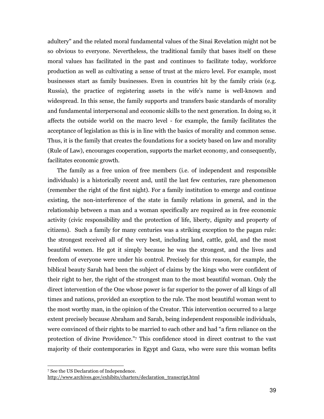adultery" and the related moral fundamental values of the Sinai Revelation might not be so obvious to everyone. Nevertheless, the traditional family that bases itself on these moral values has facilitated in the past and continues to facilitate today, workforce production as well as cultivating a sense of trust at the micro level. For example, most businesses start as family businesses. Even in countries hit by the family crisis (e.g. Russia), the practice of registering assets in the wife's name is well-known and widespread. In this sense, the family supports and transfers basic standards of morality and fundamental interpersonal and economic skills to the next generation. In doing so, it affects the outside world on the macro level - for example, the family facilitates the acceptance of legislation as this is in line with the basics of morality and common sense. Thus, it is the family that creates the foundations for a society based on law and morality (Rule of Law), encourages cooperation, supports the market economy, and consequently, facilitates economic growth.

The family as a free union of free members (i.e. of independent and responsible individuals) is a historically recent and, until the last few centuries, rare phenomenon (remember the right of the first night). For a family institution to emerge and continue existing, the non-interference of the state in family relations in general, and in the relationship between a man and a woman specifically are required as in free economic activity (civic responsibility and the protection of life, liberty, dignity and property of citizens). Such a family for many centuries was a striking exception to the pagan rule: the strongest received all of the very best, including land, cattle, gold, and the most beautiful women. He got it simply because he was the strongest, and the lives and freedom of everyone were under his control. Precisely for this reason, for example, the biblical beauty Sarah had been the subject of claims by the kings who were confident of their right to her, the right of the strongest man to the most beautiful woman. Only the direct intervention of the One whose power is far superior to the power of all kings of all times and nations, provided an exception to the rule. The most beautiful woman went to the most worthy man, in the opinion of the Creator. This intervention occurred to a large extent precisely because Abraham and Sarah, being independent responsible individuals, were convinced of their rights to be married to each other and had "a firm reliance on the protection of divine Providence."<sup>7</sup> This confidence stood in direct contrast to the vast majority of their contemporaries in Egypt and Gaza, who were sure this woman befits

<sup>7</sup> See the US Declaration of Independence.

http://www.archives.gov/exhibits/charters/declaration\_transcript.html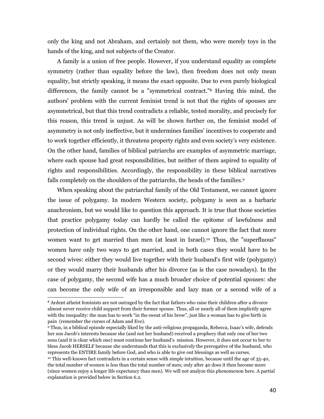only the king and not Abraham, and certainly not them, who were merely toys in the hands of the king, and not subjects of the Creator.

A family is a union of free people. However, if you understand equality as complete symmetry (rather than equality before the law), then freedom does not only mean equality, but strictly speaking, it means the exact opposite. Due to even purely biological differences, the family cannot be a "symmetrical contract."8 Having this mind, the authors' problem with the current feminist trend is not that the rights of spouses are asymmetrical, but that this trend contradicts a reliable, tested morality, and precisely for this reason, this trend is unjust. As will be shown further on, the feminist model of asymmetry is not only ineffective, but it undermines families' incentives to cooperate and to work together efficiently, it threatens property rights and even society's very existence. On the other hand, families of biblical patriarchs are examples of asymmetric marriage, where each spouse had great responsibilities, but neither of them aspired to equality of rights and responsibilities. Accordingly, the responsibility in these biblical narratives falls completely on the shoulders of the patriarchs, the heads of the families.<sup>9</sup>

When speaking about the patriarchal family of the Old Testament, we cannot ignore the issue of polygamy. In modern Western society, polygamy is seen as a barbaric anachronism, but we would like to question this approach. It is true that those societies that practice polygamy today can hardly be called the epitome of lawfulness and protection of individual rights. On the other hand, one cannot ignore the fact that more women want to get married than men (at least in Israel).<sup>10</sup> Thus, the "superfluous" women have only two ways to get married, and in both cases they would have to be second wives: either they would live together with their husband's first wife (polygamy) or they would marry their husbands after his divorce (as is the case nowadays). In the case of polygamy, the second wife has a much broader choice of potential spouses: she can become the only wife of an irresponsible and lazy man or a second wife of a

<sup>8</sup> Ardent atheist feminists are not outraged by the fact that fathers who raise their children after a divorce almost never receive child support from their former spouse. Thus, all or nearly all of them implicitly agree with the inequality: the man has to work "in the sweat of his brow", just like a woman has to give birth in pain (remember the curses of Adam and Eve).

<sup>9</sup> Thus, in a biblical episode especially liked by the anti-religious propaganda, Rebecca, Isaac's wife, defends her son Jacob's interests because she (and not her husband) received a prophecy that only one of her two sons (and it is clear which one) must continue her husband's mission. However, it does not occur to her to bless Jacob HERSELF because she understands that this is exclusively the prerogative of the husband, who represents the ENTIRE family before God, and who is able to give out blessings as well as curses. <sup>10</sup> This well-known fact contradicts in a certain sense with simple intuition, because until the age of 35-40,

the total number of women is less than the total number of men; only after 40 does it then become more (since women enjoy a longer life expectancy than men). We will not analyze this phenomenon here. A partial explanation is provided below in Section 6.2.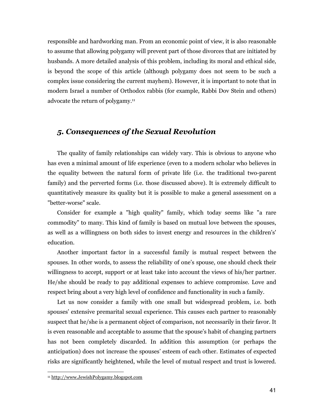responsible and hardworking man. From an economic point of view, it is also reasonable to assume that allowing polygamy will prevent part of those divorces that are initiated by husbands. A more detailed analysis of this problem, including its moral and ethical side, is beyond the scope of this article (although polygamy does not seem to be such a complex issue considering the current mayhem). However, it is important to note that in modern Israel a number of Orthodox rabbis (for example, Rabbi Dov Stein and others) advocate the return of polygamy.<sup>11</sup>

# 5. Consequences of the Sexual Revolution

The quality of family relationships can widely vary. This is obvious to anyone who has even a minimal amount of life experience (even to a modern scholar who believes in the equality between the natural form of private life (i.e. the traditional two-parent family) and the perverted forms (i.e. those discussed above). It is extremely difficult to quantitatively measure its quality but it is possible to make a general assessment on a "better-worse" scale.

Consider for example a "high quality" family, which today seems like "a rare commodity" to many. This kind of family is based on mutual love between the spouses, as well as a willingness on both sides to invest energy and resources in the children's' education.

Another important factor in a successful family is mutual respect between the spouses. In other words, to assess the reliability of one's spouse, one should check their willingness to accept, support or at least take into account the views of his/her partner. He/she should be ready to pay additional expenses to achieve compromise. Love and respect bring about a very high level of confidence and functionality in such a family.

Let us now consider a family with one small but widespread problem, i.e. both spouses' extensive premarital sexual experience. This causes each partner to reasonably suspect that he/she is a permanent object of comparison, not necessarily in their favor. It is even reasonable and acceptable to assume that the spouse's habit of changing partners has not been completely discarded. In addition this assumption (or perhaps the anticipation) does not increase the spouses' esteem of each other. Estimates of expected risks are significantly heightened, while the level of mutual respect and trust is lowered.

<sup>11</sup> http://www.JewishPolygamy.blogspot.com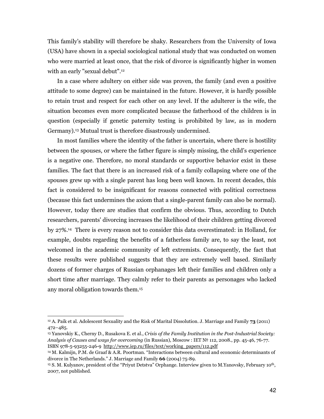This family's stability will therefore be shaky. Researchers from the University of Iowa (USA) have shown in a special sociological national study that was conducted on women who were married at least once, that the risk of divorce is significantly higher in women with an early "sexual debut".<sup>12</sup>

In a case where adultery on either side was proven, the family (and even a positive attitude to some degree) can be maintained in the future. However, it is hardly possible to retain trust and respect for each other on any level. If the adulterer is the wife, the situation becomes even more complicated because the fatherhood of the children is in question (especially if genetic paternity testing is prohibited by law, as in modern Germany).13 Mutual trust is therefore disastrously undermined.

In most families where the identity of the father is uncertain, where there is hostility between the spouses, or where the father figure is simply missing, the child's experience is a negative one. Therefore, no moral standards or supportive behavior exist in these families. The fact that there is an increased risk of a family collapsing where one of the spouses grew up with a single parent has long been well known. In recent decades, this fact is considered to be insignificant for reasons connected with political correctness (because this fact undermines the axiom that a single-parent family can also be normal). However, today there are studies that confirm the obvious. Thus, according to Dutch researchers, parents' divorcing increases the likelihood of their children getting divorced by 27%.14 There is every reason not to consider this data overestimated: in Holland, for example, doubts regarding the benefits of a fatherless family are, to say the least, not welcomed in the academic community of left extremists. Consequently, the fact that these results were published suggests that they are extremely well based. Similarly dozens of former charges of Russian orphanages left their families and children only a short time after marriage. They calmly refer to their parents as personages who lacked any moral obligation towards them.<sup>15</sup>

 $12$  A. Paik et al. Adolescent Sexuality and the Risk of Marital Dissolution. J. Marriage and Family 73 (2011) 472–485.

<sup>&</sup>lt;sup>13</sup> Yanovskiy K., Cherny D., Rusakova E. et al., *Crisis of the Family Institution in the Post-Industrial Society:* Analysis of Causes and ways for overcoming (in Russian), Moscow : IET № 112, 2008., pp. 45-46, 76-77. ISBN 978-5-93255-246-9 http://www.iep.ru/files/text/working\_papers/112.pdf

<sup>14</sup> M. Kalmijn, P.M. de Graaf & A.R. Poortman. "Interactions between cultural and economic determinants of divorce in The Netherlands." J. Marriage and Family 66 (2004) 75-89.

<sup>15</sup> S. M. Kulyanov, president of the "Priyut Detstva" Orphange. Interview given to M.Yanovsky, February 10th, 2007, not published.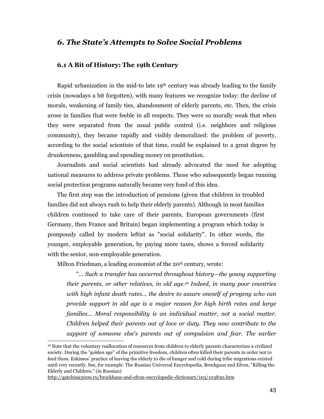# 6. The State's Attempts to Solve Social Problems

### 6.1 A Bit of History: The 19th Century

Rapid urbanization in the mid-to late 19th century was already leading to the family crisis (nowadays a bit forgotten), with many features we recognize today: the decline of morals, weakening of family ties, abandonment of elderly parents, etc. Then, the crisis arose in families that were feeble in all respects. They were so morally weak that when they were separated from the usual public control (i.e. neighbors and religious community), they became rapidly and visibly demoralized: the problem of poverty, according to the social scientists of that time, could be explained to a great degree by drunkenness, gambling and spending money on prostitution.

Journalists and social scientists had already advocated the need for adopting national measures to address private problems. Those who subsequently began running social protection programs naturally became very fond of this idea.

The first step was the introduction of pensions (given that children in troubled families did not always rush to help their elderly parents). Although in most families children continued to take care of their parents, European governments (first Germany, then France and Britain) began implementing a program which today is pompously called by modern leftist as "social solidarity". In other words, the younger, employable generation, by paying more taxes, shows a forced solidarity with the senior, non-employable generation.

Milton Friedman, a leading economist of the 20<sup>th</sup> century, wrote:

"... Such a transfer has occurred throughout history—the young supporting their parents, or other relatives, in old age.16 Indeed, in many poor countries with high infant death rates... the desire to assure oneself of progeny who can provide support in old age is a major reason for high birth rates and large families... Moral responsibility is an individual matter, not a social matter. Children helped their parents out of love or duty. They now contribute to the support of someone else's parents out of compulsion and fear. The earlier

 $\overline{a}$ 

<sup>16</sup> Note that the voluntary reallocation of resources from children to elderly parents characterizes a civilized society. During the "golden age" of the primitive freedom, children often killed their parents in order not to feed them. Eskimos' practice of leaving the elderly to die of hunger and cold during tribe migrations existed until very recently. See, for example. The Russian Universal Encyclopedia, Brockgaus and Efron, "Killing the Elderly and Children." (in Russian)

http://gatchina3000.ru/brockhaus-and-efron-encyclopedic-dictionary/103/103830.htm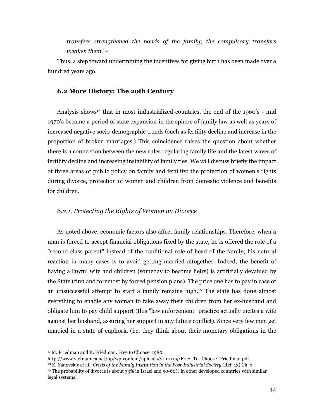transfers strengthened the bonds of the family; the compulsory transfers weaken them."<sup>17</sup>

Thus, a step toward undermining the incentives for giving birth has been made over a hundred years ago.

### 6.2 More History: The 20th Century

Analysis shows<sup>18</sup> that in most industrialized countries, the end of the 1960's - mid 1970's became a period of state expansion in the sphere of family law as well as years of increased negative socio-demographic trends (such as fertility decline and increase in the proportion of broken marriages.) This coincidence raises the question about whether there is a connection between the new rules regulating family life and the latest waves of fertility decline and increasing instability of family ties. We will discuss briefly the impact of three areas of public policy on family and fertility: the protection of women's rights during divorce, protection of women and children from domestic violence and benefits for children.

### 6.2.1. Protecting the Rights of Women on Divorce

As noted above, economic factors also affect family relationships. Therefore, when a man is forced to accept financial obligations fixed by the state, he is offered the role of a "second class parent" instead of the traditional role of head of the family; his natural reaction in many cases is to avoid getting married altogether. Indeed, the benefit of having a lawful wife and children (someday to become heirs) is artificially devalued by the State (first and foremost by forced pension plans). The price one has to pay in case of an unsuccessful attempt to start a family remains high.19 The state has done almost everything to enable any woman to take away their children from her ex-husband and obligate him to pay child support (this "law enforcement" practice actually incites a wife against her husband, assuring her support in any future conflict). Since very few men get married in a state of euphoria (i.e. they think about their monetary obligations in the

 $\overline{a}$ <sup>17</sup> M. Friedman and R. Friedman. Free to Choose, 1980.

http://www.vietnamica.net/op/wp-content/uploads/2010/09/Free\_To\_Choose\_Friedman.pdf

 $18$  K. Yanovskiy et al., Crisis of the Family Institution in the Post-Industrial Society (Ref. 13) Ch. 3. <sup>19</sup> The probability of divorce is about 33% in Israel and 50-60% in other developed countries with similar legal systems.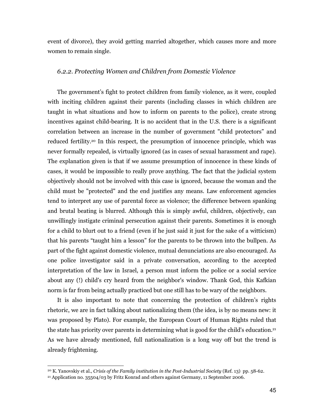event of divorce), they avoid getting married altogether, which causes more and more women to remain single.

#### 6.2.2. Protecting Women and Children from Domestic Violence

The government's fight to protect children from family violence, as it were, coupled with inciting children against their parents (including classes in which children are taught in what situations and how to inform on parents to the police), create strong incentives against child-bearing. It is no accident that in the U.S. there is a significant correlation between an increase in the number of government "child protectors" and reduced fertility.<sup>20</sup> In this respect, the presumption of innocence principle, which was never formally repealed, is virtually ignored (as in cases of sexual harassment and rape). The explanation given is that if we assume presumption of innocence in these kinds of cases, it would be impossible to really prove anything. The fact that the judicial system objectively should not be involved with this case is ignored, because the woman and the child must be "protected" and the end justifies any means. Law enforcement agencies tend to interpret any use of parental force as violence; the difference between spanking and brutal beating is blurred. Although this is simply awful, children, objectively, can unwillingly instigate criminal persecution against their parents. Sometimes it is enough for a child to blurt out to a friend (even if he just said it just for the sake of a witticism) that his parents "taught him a lesson" for the parents to be thrown into the bullpen. As part of the fight against domestic violence, mutual denunciations are also encouraged. As one police investigator said in a private conversation, according to the accepted interpretation of the law in Israel, a person must inform the police or a social service about any (!) child's cry heard from the neighbor's window. Thank God, this Kafkian norm is far from being actually practiced but one still has to be wary of the neighbors.

It is also important to note that concerning the protection of children's rights rhetoric, we are in fact talking about nationalizing them (the idea, is by no means new: it was proposed by Plato). For example, the European Court of Human Rights ruled that the state has priority over parents in determining what is good for the child's education.<sup>21</sup> As we have already mentioned, full nationalization is a long way off but the trend is already frightening.

<sup>20</sup> К. Yanovskiy et al., Crisis of the Family institution in the Post-Industrial Society (Ref. 13) pp. 58-62.

<sup>21</sup> Application no. 35504/03 by Fritz Konrad and others against Germany, 11 September 2006.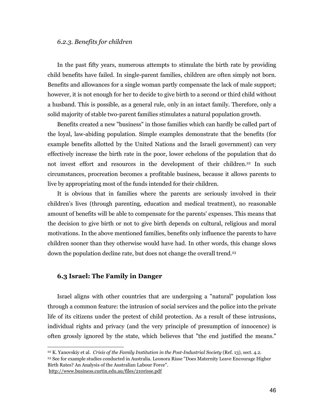### 6.2.3. Benefits for children

In the past fifty years, numerous attempts to stimulate the birth rate by providing child benefits have failed. In single-parent families, children are often simply not born. Benefits and allowances for a single woman partly compensate the lack of male support; however, it is not enough for her to decide to give birth to a second or third child without a husband. This is possible, as a general rule, only in an intact family. Therefore, only a solid majority of stable two-parent families stimulates a natural population growth.

Benefits created a new "business" in those families which can hardly be called part of the loyal, law-abiding population. Simple examples demonstrate that the benefits (for example benefits allotted by the United Nations and the Israeli government) can very effectively increase the birth rate in the poor, lower echelons of the population that do not invest effort and resources in the development of their children.22 In such circumstances, procreation becomes a profitable business, because it allows parents to live by appropriating most of the funds intended for their children.

It is obvious that in families where the parents are seriously involved in their children's lives (through parenting, education and medical treatment), no reasonable amount of benefits will be able to compensate for the parents' expenses. This means that the decision to give birth or not to give birth depends on cultural, religious and moral motivations. In the above mentioned families, benefits only influence the parents to have children sooner than they otherwise would have had. In other words, this change slows down the population decline rate, but does not change the overall trend.<sup>23</sup>

### 6.3 Israel: The Family in Danger

j

Israel aligns with other countries that are undergoing a "natural" population loss through a common feature: the intrusion of social services and the police into the private life of its citizens under the pretext of child protection. As a result of these intrusions, individual rights and privacy (and the very principle of presumption of innocence) is often grossly ignored by the state, which believes that "the end justified the means."

 $22$  K. Yanovskiy et al. Crisis of the Family Institution in the Post-Industrial Society (Ref. 13), sect. 4.2. <sup>23</sup> See for example studies conducted in Australia. Leonora Risse "Does Maternity Leave Encourage Higher Birth Rates? An Analysis of the Australian Labour Force". http://www.business.curtin.edu.au/files/210risse.pdf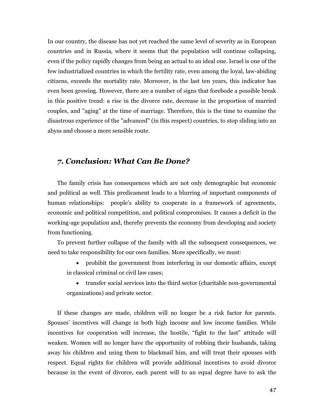In our country, the disease has not yet reached the same level of severity as in European countries and in Russia, where it seems that the population will continue collapsing, even if the policy rapidly changes from being an actual to an ideal one. Israel is one of the few industrialized countries in which the fertility rate, even among the loyal, law-abiding citizens, exceeds the mortality rate. Moreover, in the last ten years, this indicator has even been growing. However, there are a number of signs that forebode a possible break in this positive trend: a rise in the divorce rate, decrease in the proportion of married couples, and "aging" at the time of marriage. Therefore, this is the time to examine the disastrous experience of the "advanced" (in this respect) countries, to stop sliding into an abyss and choose a more sensible route.

# 7. Conclusion: What Can Be Done?

The family crisis has consequences which are not only demographic but economic and political as well. This predicament leads to a blurring of important components of human relationships: people's ability to cooperate in a framework of agreements, economic and political competition, and political compromises. It causes a deficit in the working-age population and, thereby prevents the economy from developing and society from functioning.

To prevent further collapse of the family with all the subsequent consequences, we need to take responsibility for our own families. More specifically, we must:

- prohibit the government from interfering in our domestic affairs, except in classical criminal or civil law cases;
- transfer social services into the third sector (charitable non-governmental organizations) and private sector.

If these changes are made, children will no longer be a risk factor for parents. Spouses' incentives will change in both high income and low income families. While incentives for cooperation will increase, the hostile, "fight to the last" attitude will weaken. Women will no longer have the opportunity of robbing their husbands, taking away his children and using them to blackmail him, and will treat their spouses with respect. Equal rights for children will provide additional incentives to avoid divorce because in the event of divorce, each parent will to an equal degree have to ask the